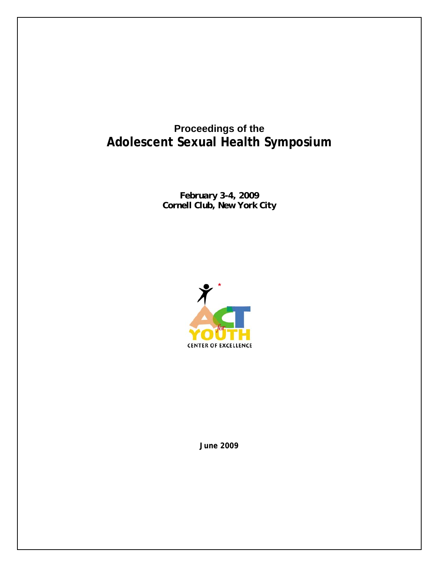# **Proceedings of the Adolescent Sexual Health Symposium**

*February 3-4, 2009 Cornell Club, New York City* 



**June 2009**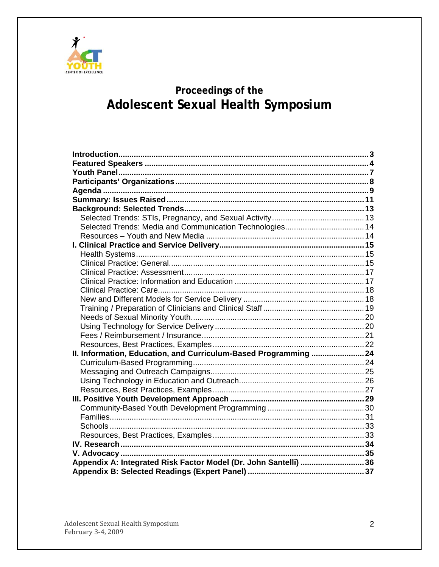

# Proceedings of the Adolescent Sexual Health Symposium

| Selected Trends: Media and Communication Technologies 14         |  |  |  |
|------------------------------------------------------------------|--|--|--|
|                                                                  |  |  |  |
|                                                                  |  |  |  |
|                                                                  |  |  |  |
|                                                                  |  |  |  |
|                                                                  |  |  |  |
|                                                                  |  |  |  |
|                                                                  |  |  |  |
|                                                                  |  |  |  |
|                                                                  |  |  |  |
|                                                                  |  |  |  |
|                                                                  |  |  |  |
|                                                                  |  |  |  |
|                                                                  |  |  |  |
| II. Information, Education, and Curriculum-Based Programming  24 |  |  |  |
|                                                                  |  |  |  |
|                                                                  |  |  |  |
|                                                                  |  |  |  |
|                                                                  |  |  |  |
|                                                                  |  |  |  |
|                                                                  |  |  |  |
|                                                                  |  |  |  |
|                                                                  |  |  |  |
|                                                                  |  |  |  |
|                                                                  |  |  |  |
|                                                                  |  |  |  |
| Appendix A: Integrated Risk Factor Model (Dr. John Santelli) 36  |  |  |  |
|                                                                  |  |  |  |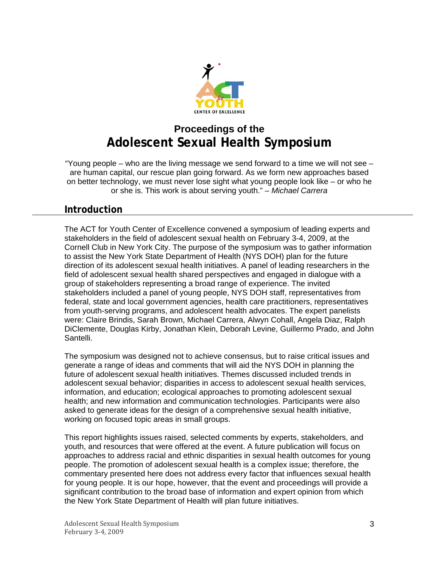

# <span id="page-2-0"></span>**Proceedings of the Adolescent Sexual Health Symposium**

"Young people – who are the living message we send forward to a time we will not see – are human capital, our rescue plan going forward. As we form new approaches based on better technology, we must never lose sight what young people look like – or who he or she is. This work is about serving youth." *– Michael Carrera* 

# **Introduction**

The ACT for Youth Center of Excellence convened a symposium of leading experts and stakeholders in the field of adolescent sexual health on February 3-4, 2009, at the Cornell Club in New York City. The purpose of the symposium was to gather information to assist the New York State Department of Health (NYS DOH) plan for the future direction of its adolescent sexual health initiatives. A panel of leading researchers in the field of adolescent sexual health shared perspectives and engaged in dialogue with a group of stakeholders representing a broad range of experience. The invited stakeholders included a panel of young people, NYS DOH staff, representatives from federal, state and local government agencies, health care practitioners, representatives from youth-serving programs, and adolescent health advocates. The expert panelists were: Claire Brindis, Sarah Brown, Michael Carrera, Alwyn Cohall, Angela Diaz, Ralph DiClemente, Douglas Kirby, Jonathan Klein, Deborah Levine, Guillermo Prado, and John Santelli.

The symposium was designed not to achieve consensus, but to raise critical issues and generate a range of ideas and comments that will aid the NYS DOH in planning the future of adolescent sexual health initiatives. Themes discussed included trends in adolescent sexual behavior; disparities in access to adolescent sexual health services, information, and education; ecological approaches to promoting adolescent sexual health; and new information and communication technologies. Participants were also asked to generate ideas for the design of a comprehensive sexual health initiative, working on focused topic areas in small groups.

This report highlights issues raised, selected comments by experts, stakeholders, and youth, and resources that were offered at the event. A future publication will focus on approaches to address racial and ethnic disparities in sexual health outcomes for young people. The promotion of adolescent sexual health is a complex issue; therefore, the commentary presented here does not address every factor that influences sexual health for young people. It is our hope, however, that the event and proceedings will provide a significant contribution to the broad base of information and expert opinion from which the New York State Department of Health will plan future initiatives.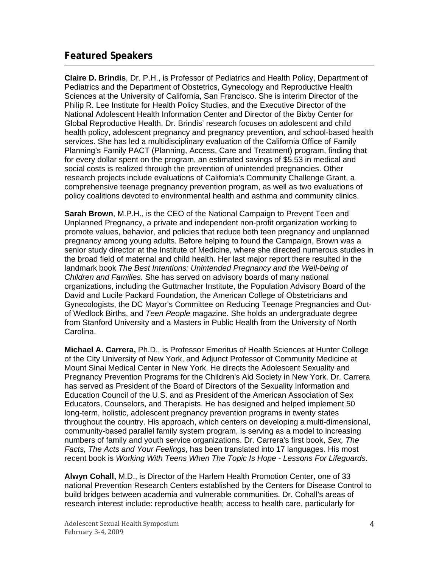# <span id="page-3-0"></span>**Featured Speakers**

**Claire D. Brindis**, Dr. P.H., is Professor of Pediatrics and Health Policy, Department of Pediatrics and the Department of Obstetrics, Gynecology and Reproductive Health Sciences at the University of California, San Francisco. She is interim Director of the Philip R. Lee Institute for Health Policy Studies, and the Executive Director of the National Adolescent Health Information Center and Director of the Bixby Center for Global Reproductive Health. Dr. Brindis' research focuses on adolescent and child health policy, adolescent pregnancy and pregnancy prevention, and school-based health services. She has led a multidisciplinary evaluation of the California Office of Family Planning's Family PACT (Planning, Access, Care and Treatment) program, finding that for every dollar spent on the program, an estimated savings of \$5.53 in medical and social costs is realized through the prevention of unintended pregnancies. Other research projects include evaluations of California's Community Challenge Grant, a comprehensive teenage pregnancy prevention program, as well as two evaluations of policy coalitions devoted to environmental health and asthma and community clinics.

**Sarah Brown**, M.P.H., is the CEO of the National Campaign to Prevent Teen and Unplanned Pregnancy, a private and independent non-profit organization working to promote values, behavior, and policies that reduce both teen pregnancy and unplanned pregnancy among young adults. Before helping to found the Campaign, Brown was a senior study director at the Institute of Medicine, where she directed numerous studies in the broad field of maternal and child health. Her last major report there resulted in the landmark book *The Best Intentions: Unintended Pregnancy and the Well-being of Children and Families.* She has served on advisory boards of many national organizations, including the Guttmacher Institute, the Population Advisory Board of the David and Lucile Packard Foundation, the American College of Obstetricians and Gynecologists, the DC Mayor's Committee on Reducing Teenage Pregnancies and Outof Wedlock Births, and *Teen People* magazine. She holds an undergraduate degree from Stanford University and a Masters in Public Health from the University of North Carolina.

**Michael A. Carrera,** Ph.D., is Professor Emeritus of Health Sciences at Hunter College of the City University of New York, and Adjunct Professor of Community Medicine at Mount Sinai Medical Center in New York. He directs the Adolescent Sexuality and Pregnancy Prevention Programs for the Children's Aid Society in New York. Dr. Carrera has served as President of the Board of Directors of the Sexuality Information and Education Council of the U.S. and as President of the American Association of Sex Educators, Counselors, and Therapists. He has designed and helped implement 50 long-term, holistic, adolescent pregnancy prevention programs in twenty states throughout the country. His approach, which centers on developing a multi-dimensional, community-based parallel family system program, is serving as a model to increasing numbers of family and youth service organizations. Dr. Carrera's first book, *Sex, The Facts, The Acts and Your Feelings*, has been translated into 17 languages. His most recent book is *Working With Teens When The Topic Is Hope - Lessons For Lifeguards*.

**Alwyn Cohall,** M.D., is Director of the Harlem Health Promotion Center, one of 33 national Prevention Research Centers established by the Centers for Disease Control to build bridges between academia and vulnerable communities. Dr. Cohall's areas of research interest include: reproductive health; access to health care, particularly for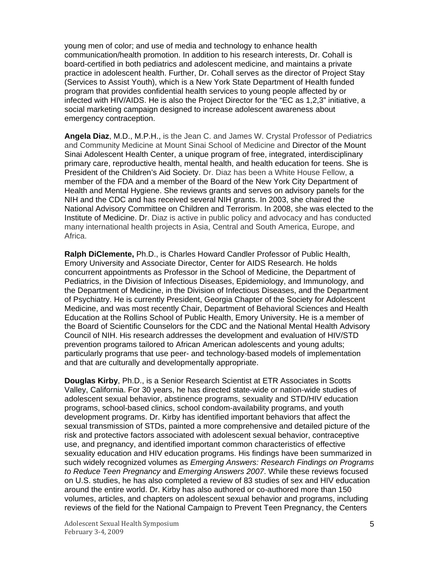young men of color; and use of media and technology to enhance health communication/health promotion. In addition to his research interests, Dr. Cohall is board-certified in both pediatrics and adolescent medicine, and maintains a private practice in adolescent health. Further, Dr. Cohall serves as the director of Project Stay (Services to Assist Youth), which is a New York State Department of Health funded program that provides confidential health services to young people affected by or infected with HIV/AIDS. He is also the Project Director for the "EC as 1,2,3" initiative, a social marketing campaign designed to increase adolescent awareness about emergency contraception.

**Angela Diaz**, M.D., M.P.H., is the Jean C. and James W. Crystal Professor of Pediatrics and Community Medicine at Mount Sinai School of Medicine and Director of the Mount Sinai Adolescent Health Center, a unique program of free, integrated, interdisciplinary primary care, reproductive health, mental health, and health education for teens. She is President of the Children's Aid Society. Dr. Diaz has been a White House Fellow, a member of the FDA and a member of the Board of the New York City Department of Health and Mental Hygiene. She reviews grants and serves on advisory panels for the NIH and the CDC and has received several NIH grants. In 2003, she chaired the National Advisory Committee on Children and Terrorism. In 2008, she was elected to the Institute of Medicine. Dr. Diaz is active in public policy and advocacy and has conducted many international health projects in Asia, Central and South America, Europe, and Africa.

**Ralph DiClemente,** Ph.D., is Charles Howard Candler Professor of Public Health, Emory University and Associate Director, Center for AIDS Research. He holds concurrent appointments as Professor in the School of Medicine, the Department of Pediatrics, in the Division of Infectious Diseases, Epidemiology, and Immunology, and the Department of Medicine, in the Division of Infectious Diseases, and the Department of Psychiatry. He is currently President, Georgia Chapter of the Society for Adolescent Medicine, and was most recently Chair, Department of Behavioral Sciences and Health Education at the Rollins School of Public Health, Emory University. He is a member of the Board of Scientific Counselors for the CDC and the National Mental Health Advisory Council of NIH. His research addresses the development and evaluation of HIV/STD prevention programs tailored to African American adolescents and young adults; particularly programs that use peer- and technology-based models of implementation and that are culturally and developmentally appropriate.

**Douglas Kirby**, Ph.D., is a Senior Research Scientist at ETR Associates in Scotts Valley, California. For 30 years, he has directed state-wide or nation-wide studies of adolescent sexual behavior, abstinence programs, sexuality and STD/HIV education programs, school-based clinics, school condom-availability programs, and youth development programs. Dr. Kirby has identified important behaviors that affect the sexual transmission of STDs, painted a more comprehensive and detailed picture of the risk and protective factors associated with adolescent sexual behavior, contraceptive use, and pregnancy, and identified important common characteristics of effective sexuality education and HIV education programs. His findings have been summarized in such widely recognized volumes as *Emerging Answers: Research Findings on Programs to Reduce Teen Pregnancy* and *Emerging Answers 2007*. While these reviews focused on U.S. studies, he has also completed a review of 83 studies of sex and HIV education around the entire world. Dr. Kirby has also authored or co-authored more than 150 volumes, articles, and chapters on adolescent sexual behavior and programs, including reviews of the field for the National Campaign to Prevent Teen Pregnancy, the Centers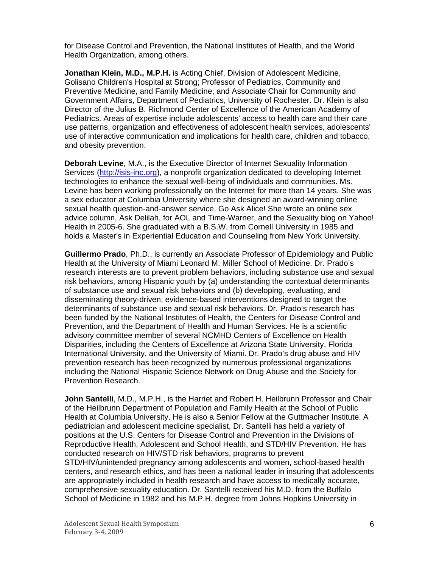for Disease Control and Prevention, the National Institutes of Health, and the World Health Organization, among others.

**Jonathan Klein, M.D., M.P.H.** is Acting Chief, Division of Adolescent Medicine, Golisano Children's Hospital at Strong; Professor of Pediatrics, Community and Preventive Medicine, and Family Medicine; and Associate Chair for Community and Government Affairs, Department of Pediatrics, University of Rochester. Dr. Klein is also Director of the Julius B. Richmond Center of Excellence of the American Academy of Pediatrics. Areas of expertise include adolescents' access to health care and their care use patterns, organization and effectiveness of adolescent health services, adolescents' use of interactive communication and implications for health care, children and tobacco, and obesity prevention.

**Deborah Levine**, M.A., is the Executive Director of Internet Sexuality Information Services ([http://isis-inc.org](http://isis-inc.org/)), a nonprofit organization dedicated to developing Internet technologies to enhance the sexual well-being of individuals and communities. Ms. Levine has been working professionally on the Internet for more than 14 years. She was a sex educator at Columbia University where she designed an award-winning online sexual health question-and-answer service, Go Ask Alice! She wrote an online sex advice column, Ask Delilah, for AOL and Time-Warner, and the Sexuality blog on Yahoo! Health in 2005-6. She graduated with a B.S.W. from Cornell University in 1985 and holds a Master's in Experiential Education and Counseling from New York University.

**Guillermo Prado**, Ph.D., is currently an Associate Professor of Epidemiology and Public Health at the University of Miami Leonard M. Miller School of Medicine. Dr. Prado's research interests are to prevent problem behaviors, including substance use and sexual risk behaviors, among Hispanic youth by (a) understanding the contextual determinants of substance use and sexual risk behaviors and (b) developing, evaluating, and disseminating theory-driven, evidence-based interventions designed to target the determinants of substance use and sexual risk behaviors. Dr. Prado's research has been funded by the National Institutes of Health, the Centers for Disease Control and Prevention, and the Department of Health and Human Services. He is a scientific advisory committee member of several NCMHD Centers of Excellence on Health Disparities, including the Centers of Excellence at Arizona State University, Florida International University, and the University of Miami. Dr. Prado's drug abuse and HIV prevention research has been recognized by numerous professional organizations including the National Hispanic Science Network on Drug Abuse and the Society for Prevention Research.

**John Santelli**, M.D., M.P.H., is the Harriet and Robert H. Heilbrunn Professor and Chair of the Heilbrunn Department of Population and Family Health at the School of Public Health at Columbia University. He is also a Senior Fellow at the Guttmacher Institute. A pediatrician and adolescent medicine specialist, Dr. Santelli has held a variety of positions at the U.S. Centers for Disease Control and Prevention in the Divisions of Reproductive Health, Adolescent and School Health, and STD/HIV Prevention. He has conducted research on HIV/STD risk behaviors, programs to prevent STD/HIV/unintended pregnancy among adolescents and women, school-based health centers, and research ethics, and has been a national leader in insuring that adolescents are appropriately included in health research and have access to medically accurate, comprehensive sexuality education. Dr. Santelli received his M.D. from the Buffalo School of Medicine in 1982 and his M.P.H. degree from Johns Hopkins University in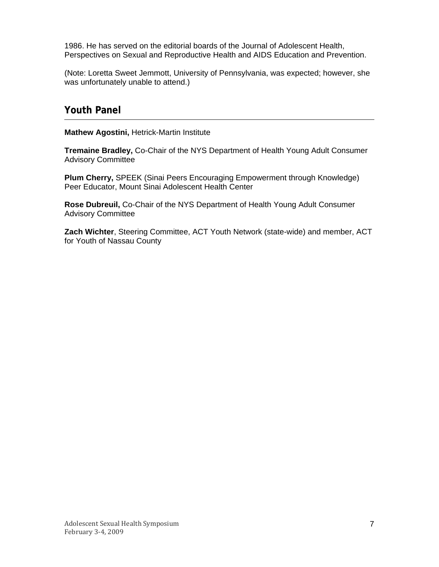<span id="page-6-0"></span>1986. He has served on the editorial boards of the Journal of Adolescent Health, Perspectives on Sexual and Reproductive Health and AIDS Education and Prevention.

(Note: Loretta Sweet Jemmott, University of Pennsylvania, was expected; however, she was unfortunately unable to attend.)

# **Youth Panel**

**Mathew Agostini,** Hetrick-Martin Institute

**Tremaine Bradley,** Co-Chair of the NYS Department of Health Young Adult Consumer Advisory Committee

**Plum Cherry,** SPEEK (Sinai Peers Encouraging Empowerment through Knowledge) Peer Educator, Mount Sinai Adolescent Health Center

**Rose Dubreuil,** Co-Chair of the NYS Department of Health Young Adult Consumer Advisory Committee

**Zach Wichter**, Steering Committee, ACT Youth Network (state-wide) and member, ACT for Youth of Nassau County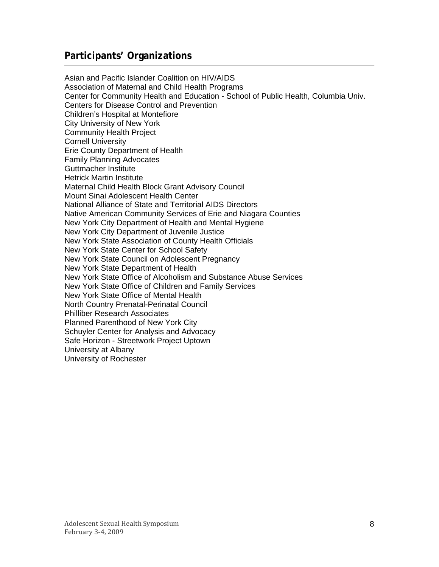# <span id="page-7-0"></span>**Participants' Organizations**

Asian and Pacific Islander Coalition on HIV/AIDS Association of Maternal and Child Health Programs Center for Community Health and Education - School of Public Health, Columbia Univ. Centers for Disease Control and Prevention Children's Hospital at Montefiore City University of New York Community Health Project Cornell University Erie County Department of Health Family Planning Advocates Guttmacher Institute Hetrick Martin Institute Maternal Child Health Block Grant Advisory Council Mount Sinai Adolescent Health Center National Alliance of State and Territorial AIDS Directors Native American Community Services of Erie and Niagara Counties New York City Department of Health and Mental Hygiene New York City Department of Juvenile Justice New York State Association of County Health Officials New York State Center for School Safety New York State Council on Adolescent Pregnancy New York State Department of Health New York State Office of Alcoholism and Substance Abuse Services New York State Office of Children and Family Services New York State Office of Mental Health North Country Prenatal-Perinatal Council Philliber Research Associates Planned Parenthood of New York City Schuyler Center for Analysis and Advocacy Safe Horizon - Streetwork Project Uptown University at Albany University of Rochester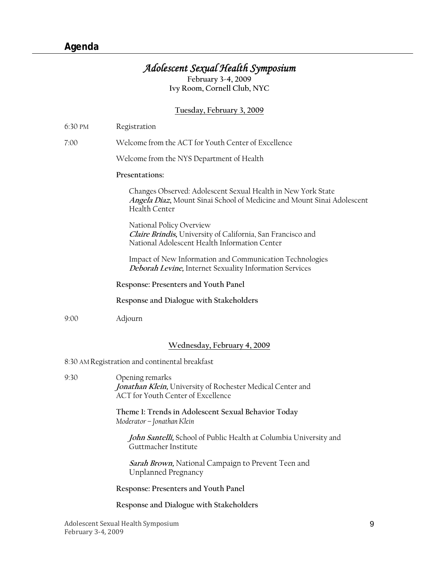# *Adolescent Sexual Health Symposium*

**February 3-4, 2009 Ivy Room, Cornell Club, NYC** 

# **Tuesday, February 3, 2009**

<span id="page-8-0"></span>

| 6:30 PM                                        | Registration                                                                                                                                            |  |
|------------------------------------------------|---------------------------------------------------------------------------------------------------------------------------------------------------------|--|
| 7:00                                           | Welcome from the ACT for Youth Center of Excellence                                                                                                     |  |
|                                                | Welcome from the NYS Department of Health                                                                                                               |  |
|                                                | Presentations:                                                                                                                                          |  |
|                                                | Changes Observed: Adolescent Sexual Health in New York State<br>Angela Díaz, Mount Sinai School of Medicine and Mount Sinai Adolescent<br>Health Center |  |
|                                                | National Policy Overview<br>Claire Brindis, University of California, San Francisco and<br>National Adolescent Health Information Center                |  |
|                                                | Impact of New Information and Communication Technologies<br><b>Deborah Levine, Internet Sexuality Information Services</b>                              |  |
|                                                | Response: Presenters and Youth Panel                                                                                                                    |  |
|                                                | Response and Dialogue with Stakeholders                                                                                                                 |  |
| 9:00                                           | Adjourn                                                                                                                                                 |  |
|                                                | Wednesday, February 4, 2009                                                                                                                             |  |
| 8:30 AM Registration and continental breakfast |                                                                                                                                                         |  |
| 9:30                                           | Opening remarks<br>Jonathan Klein, University of Rochester Medical Center and<br>ACT for Youth Center of Excellence                                     |  |
|                                                | Theme 1: Trends in Adolescent Sexual Behavior Today<br>Moderator - Jonathan Klein                                                                       |  |
|                                                | John Santelli, School of Public Health at Columbia University and<br>Guttmacher Institute                                                               |  |
|                                                | Sarah Brown, National Campaign to Prevent Teen and<br>Unplanned Pregnancy                                                                               |  |
|                                                | Response: Presenters and Youth Panel                                                                                                                    |  |
|                                                | Response and Dialogue with Stakeholders                                                                                                                 |  |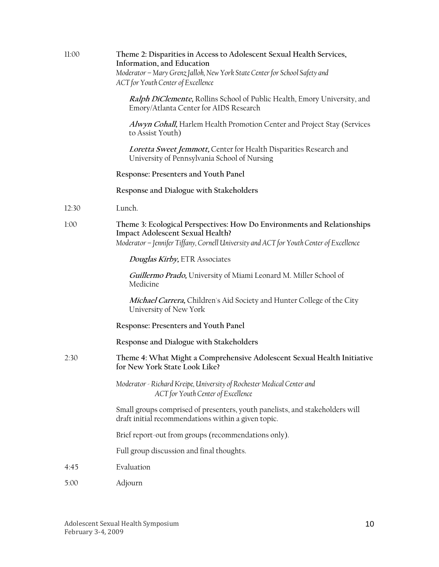| 11:00 | Theme 2: Disparities in Access to Adolescent Sexual Health Services,<br>Information, and Education<br>Moderator - Mary Grenz Jalloh, New York State Center for School Safety and<br>ACT for Youth Center of Excellence |
|-------|------------------------------------------------------------------------------------------------------------------------------------------------------------------------------------------------------------------------|
|       | Ralph DiClemente, Rollins School of Public Health, Emory University, and<br>Emory/Atlanta Center for AIDS Research                                                                                                     |
|       | Alwyn Cohall, Harlem Health Promotion Center and Project Stay (Services<br>to Assist Youth)                                                                                                                            |
|       | Loretta Sweet Jemmott, Center for Health Disparities Research and<br>University of Pennsylvania School of Nursing                                                                                                      |
|       | Response: Presenters and Youth Panel                                                                                                                                                                                   |
|       | Response and Dialogue with Stakeholders                                                                                                                                                                                |
| 12:30 | Lunch.                                                                                                                                                                                                                 |
| 1:00  | Theme 3: Ecological Perspectives: How Do Environments and Relationships<br><b>Impact Adolescent Sexual Health?</b><br>Moderator - Jennifer Tiffany, Cornell University and ACT for Youth Center of Excellence          |
|       | Douglas Kirby, ETR Associates                                                                                                                                                                                          |
|       | Guillermo Prado, University of Miami Leonard M. Miller School of<br>Medicine                                                                                                                                           |
|       | Michael Carrera, Children's Aid Society and Hunter College of the City<br>University of New York                                                                                                                       |
|       | Response: Presenters and Youth Panel                                                                                                                                                                                   |
|       | Response and Dialogue with Stakeholders                                                                                                                                                                                |
| 2:30  | Theme 4: What Might a Comprehensive Adolescent Sexual Health Initiative<br>for New York State Look Like?                                                                                                               |
|       | Moderator - Richard Kreipe, University of Rochester Medical Center and<br>ACT for Youth Center of Excellence                                                                                                           |
|       | Small groups comprised of presenters, youth panelists, and stakeholders will<br>draft initial recommendations within a given topic.                                                                                    |
|       | Brief report-out from groups (recommendations only).                                                                                                                                                                   |
|       | Full group discussion and final thoughts.                                                                                                                                                                              |
| 4:45  | Evaluation                                                                                                                                                                                                             |
| 5:00  | Adjourn                                                                                                                                                                                                                |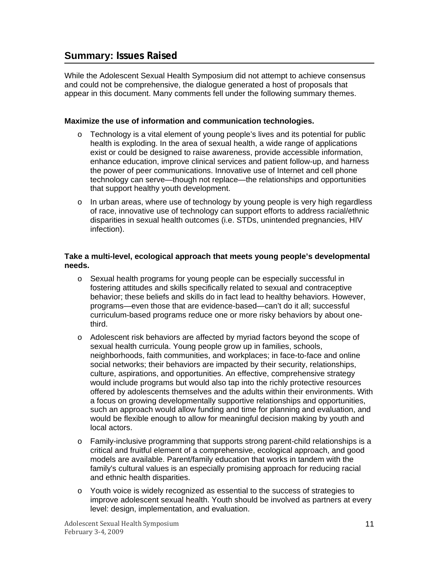# <span id="page-10-0"></span>**Summary: Issues Raised**

While the Adolescent Sexual Health Symposium did not attempt to achieve consensus and could not be comprehensive, the dialogue generated a host of proposals that appear in this document. Many comments fell under the following summary themes.

#### **Maximize the use of information and communication technologies.**

- $\circ$  Technology is a vital element of young people's lives and its potential for public health is exploding. In the area of sexual health, a wide range of applications exist or could be designed to raise awareness, provide accessible information, enhance education, improve clinical services and patient follow-up, and harness the power of peer communications. Innovative use of Internet and cell phone technology can serve—though not replace—the relationships and opportunities that support healthy youth development.
- $\circ$  In urban areas, where use of technology by young people is very high regardless of race, innovative use of technology can support efforts to address racial/ethnic disparities in sexual health outcomes (i.e. STDs, unintended pregnancies, HIV infection).

#### **Take a multi-level, ecological approach that meets young people's developmental needs.**

- o Sexual health programs for young people can be especially successful in fostering attitudes and skills specifically related to sexual and contraceptive behavior; these beliefs and skills do in fact lead to healthy behaviors. However, programs—even those that are evidence-based—can't do it all; successful curriculum-based programs reduce one or more risky behaviors by about onethird.
- o Adolescent risk behaviors are affected by myriad factors beyond the scope of sexual health curricula. Young people grow up in families, schools, neighborhoods, faith communities, and workplaces; in face-to-face and online social networks; their behaviors are impacted by their security, relationships, culture, aspirations, and opportunities. An effective, comprehensive strategy would include programs but would also tap into the richly protective resources offered by adolescents themselves and the adults within their environments. With a focus on growing developmentally supportive relationships and opportunities, such an approach would allow funding and time for planning and evaluation, and would be flexible enough to allow for meaningful decision making by youth and local actors.
- o Family-inclusive programming that supports strong parent-child relationships is a critical and fruitful element of a comprehensive, ecological approach, and good models are available. Parent/family education that works in tandem with the family's cultural values is an especially promising approach for reducing racial and ethnic health disparities.
- o Youth voice is widely recognized as essential to the success of strategies to improve adolescent sexual health. Youth should be involved as partners at every level: design, implementation, and evaluation.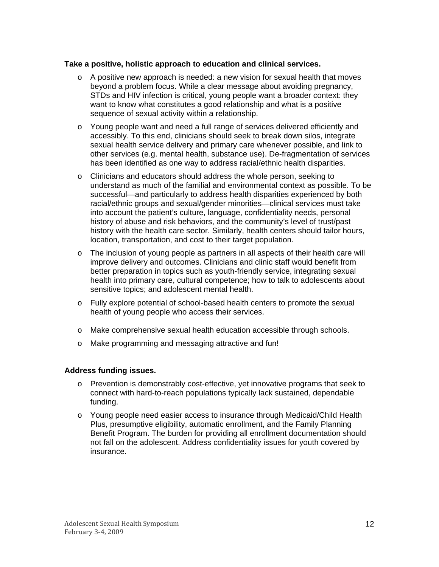#### **Take a positive, holistic approach to education and clinical services.**

- $\circ$  A positive new approach is needed: a new vision for sexual health that moves beyond a problem focus. While a clear message about avoiding pregnancy, STDs and HIV infection is critical, young people want a broader context: they want to know what constitutes a good relationship and what is a positive sequence of sexual activity within a relationship.
- o Young people want and need a full range of services delivered efficiently and accessibly. To this end, clinicians should seek to break down silos, integrate sexual health service delivery and primary care whenever possible, and link to other services (e.g. mental health, substance use). De-fragmentation of services has been identified as one way to address racial/ethnic health disparities.
- o Clinicians and educators should address the whole person, seeking to understand as much of the familial and environmental context as possible. To be successful—and particularly to address health disparities experienced by both racial/ethnic groups and sexual/gender minorities—clinical services must take into account the patient's culture, language, confidentiality needs, personal history of abuse and risk behaviors, and the community's level of trust/past history with the health care sector. Similarly, health centers should tailor hours, location, transportation, and cost to their target population.
- o The inclusion of young people as partners in all aspects of their health care will improve delivery and outcomes. Clinicians and clinic staff would benefit from better preparation in topics such as youth-friendly service, integrating sexual health into primary care, cultural competence; how to talk to adolescents about sensitive topics; and adolescent mental health.
- o Fully explore potential of school-based health centers to promote the sexual health of young people who access their services.
- o Make comprehensive sexual health education accessible through schools.
- o Make programming and messaging attractive and fun!

#### **Address funding issues.**

- o Prevention is demonstrably cost-effective, yet innovative programs that seek to connect with hard-to-reach populations typically lack sustained, dependable funding.
- o Young people need easier access to insurance through Medicaid/Child Health Plus, presumptive eligibility, automatic enrollment, and the Family Planning Benefit Program. The burden for providing all enrollment documentation should not fall on the adolescent. Address confidentiality issues for youth covered by insurance.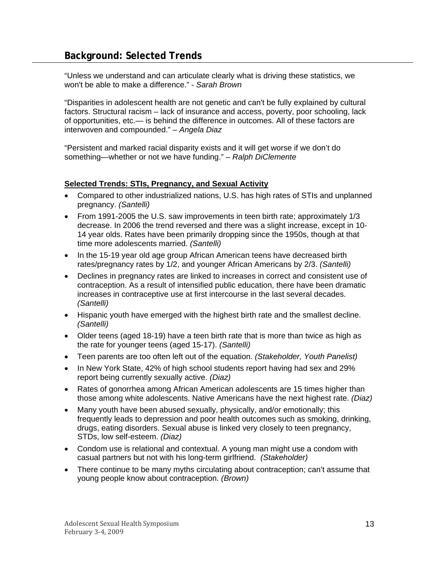<span id="page-12-0"></span>"Unless we understand and can articulate clearly what is driving these statistics, we won't be able to make a difference." - *Sarah Brown* 

"Disparities in adolescent health are not genetic and can't be fully explained by cultural factors. Structural racism – lack of insurance and access, poverty, poor schooling, lack of opportunities, etc.— is behind the difference in outcomes. All of these factors are interwoven and compounded." *– Angela Diaz* 

"Persistent and marked racial disparity exists and it will get worse if we don't do something—whether or not we have funding." *– Ralph DiClemente*

#### **Selected Trends: STIs, Pregnancy, and Sexual Activity**

- Compared to other industrialized nations, U.S. has high rates of STIs and unplanned pregnancy. *(Santelli)*
- From 1991-2005 the U.S. saw improvements in teen birth rate; approximately 1/3 decrease. In 2006 the trend reversed and there was a slight increase, except in 10- 14 year olds. Rates have been primarily dropping since the 1950s, though at that time more adolescents married. *(Santelli)*
- In the 15-19 year old age group African American teens have decreased birth rates/pregnancy rates by 1/2, and younger African Americans by 2/3. *(Santelli)*
- Declines in pregnancy rates are linked to increases in correct and consistent use of contraception. As a result of intensified public education, there have been dramatic increases in contraceptive use at first intercourse in the last several decades. *(Santelli)*
- Hispanic youth have emerged with the highest birth rate and the smallest decline. *(Santelli)*
- Older teens (aged 18-19) have a teen birth rate that is more than twice as high as the rate for younger teens (aged 15-17). *(Santelli)*
- Teen parents are too often left out of the equation. *(Stakeholder, Youth Panelist)*
- In New York State, 42% of high school students report having had sex and 29% report being currently sexually active. *(Diaz)*
- Rates of gonorrhea among African American adolescents are 15 times higher than those among white adolescents. Native Americans have the next highest rate. *(Diaz)*
- Many youth have been abused sexually, physically, and/or emotionally; this frequently leads to depression and poor health outcomes such as smoking, drinking, drugs, eating disorders. Sexual abuse is linked very closely to teen pregnancy, STDs, low self-esteem. *(Diaz)*
- Condom use is relational and contextual. A young man might use a condom with casual partners but not with his long-term girlfriend. *(Stakeholder)*
- There continue to be many myths circulating about contraception; can't assume that young people know about contraception. *(Brown)*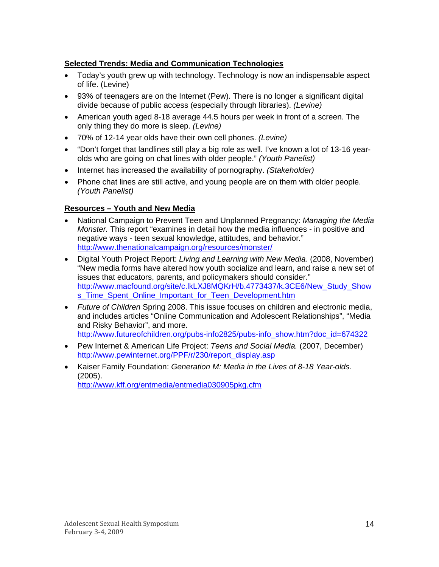# <span id="page-13-0"></span>**Selected Trends: Media and Communication Technologies**

- Today's youth grew up with technology. Technology is now an indispensable aspect of life. (Levine)
- 93% of teenagers are on the Internet (Pew). There is no longer a significant digital divide because of public access (especially through libraries). *(Levine)*
- American youth aged 8-18 average 44.5 hours per week in front of a screen. The only thing they do more is sleep. *(Levine)*
- 70% of 12-14 year olds have their own cell phones. *(Levine)*
- "Don't forget that landlines still play a big role as well. I've known a lot of 13-16 yearolds who are going on chat lines with older people." *(Youth Panelist)*
- Internet has increased the availability of pornography. *(Stakeholder)*
- Phone chat lines are still active, and young people are on them with older people. *(Youth Panelist)*

## **Resources – Youth and New Media**

- National Campaign to Prevent Teen and Unplanned Pregnancy: *Managing the Media Monster.* This report "examines in detail how the media influences - in positive and negative ways - teen sexual knowledge, attitudes, and behavior." <http://www.thenationalcampaign.org/resources/monster/>
- Digital Youth Project Report: *Living and Learning with New Media*. (2008, November) "New media forms have altered how youth socialize and learn, and raise a new set of issues that educators, parents, and policymakers should consider." [http://www.macfound.org/site/c.lkLXJ8MQKrH/b.4773437/k.3CE6/New\\_Study\\_Show](http://www.macfound.org/site/c.lkLXJ8MQKrH/b.4773437/k.3CE6/New_Study_Shows_Time_Spent_Online_Important_for_Teen_Development.htm) s\_Time\_Spent\_Online\_Important\_for\_Teen\_Development.htm
- *Future of Children* Spring 2008. This issue focuses on children and electronic media, and includes articles "Online Communication and Adolescent Relationships", "Media and Risky Behavior", and more. [http://www.futureofchildren.org/pubs-info2825/pubs-info\\_show.htm?doc\\_id=674322](http://www.futureofchildren.org/pubs-info2825/pubs-info_show.htm?doc_id=674322)
- Pew Internet & American Life Project: *Teens and Social Media.* (2007, December) [http://www.pewinternet.org/PPF/r/230/report\\_display.asp](http://www.pewinternet.org/PPF/r/230/report_display.asp)
- Kaiser Family Foundation: *Generation M: Media in the Lives of 8-18 Year-olds.*  (2005). <http://www.kff.org/entmedia/entmedia030905pkg.cfm>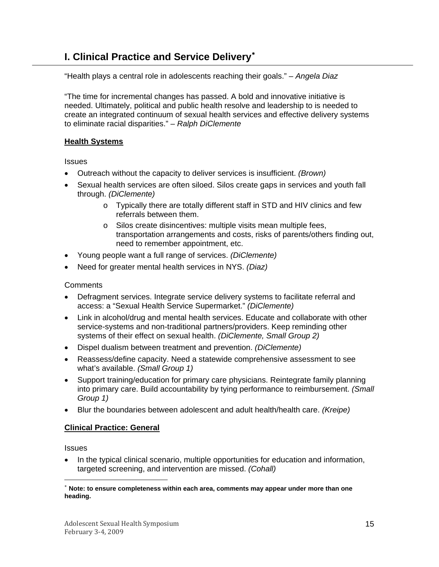# <span id="page-14-0"></span>**I. Clinical Practice and Service Delivery**[∗](#page-14-1)

"Health plays a central role in adolescents reaching their goals." *– Angela Diaz* 

"The time for incremental changes has passed. A bold and innovative initiative is needed. Ultimately, political and public health resolve and leadership to is needed to create an integrated continuum of sexual health services and effective delivery systems to eliminate racial disparities." *– Ralph DiClemente*

#### **Health Systems**

**Issues** 

- Outreach without the capacity to deliver services is insufficient. *(Brown)*
- Sexual health services are often siloed. Silos create gaps in services and youth fall through. *(DiClemente)* 
	- o Typically there are totally different staff in STD and HIV clinics and few referrals between them.
	- o Silos create disincentives: multiple visits mean multiple fees, transportation arrangements and costs, risks of parents/others finding out, need to remember appointment, etc.
- Young people want a full range of services. *(DiClemente)*
- Need for greater mental health services in NYS. *(Diaz)*

**Comments** 

- Defragment services. Integrate service delivery systems to facilitate referral and access: a "Sexual Health Service Supermarket." *(DiClemente)*
- Link in alcohol/drug and mental health services. Educate and collaborate with other service-systems and non-traditional partners/providers. Keep reminding other systems of their effect on sexual health. *(DiClemente, Small Group 2)*
- Dispel dualism between treatment and prevention. *(DiClemente)*
- Reassess/define capacity. Need a statewide comprehensive assessment to see what's available. *(Small Group 1)*
- Support training/education for primary care physicians. Reintegrate family planning into primary care. Build accountability by tying performance to reimbursement. *(Small Group 1)*
- Blur the boundaries between adolescent and adult health/health care. *(Kreipe)*

#### **Clinical Practice: General**

**Issues** 

-

• In the typical clinical scenario, multiple opportunities for education and information, targeted screening, and intervention are missed. *(Cohall)* 

<span id="page-14-1"></span>Note: to ensure completeness within each area, comments may appear under more than one **heading.**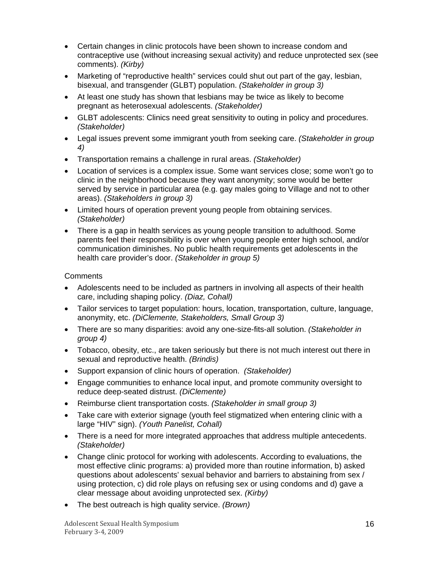- Certain changes in clinic protocols have been shown to increase condom and contraceptive use (without increasing sexual activity) and reduce unprotected sex (see comments). *(Kirby)*
- Marketing of "reproductive health" services could shut out part of the gay, lesbian, bisexual, and transgender (GLBT) population. *(Stakeholder in group 3)*
- At least one study has shown that lesbians may be twice as likely to become pregnant as heterosexual adolescents. *(Stakeholder)*
- GLBT adolescents: Clinics need great sensitivity to outing in policy and procedures. *(Stakeholder)*
- Legal issues prevent some immigrant youth from seeking care. *(Stakeholder in group 4)*
- Transportation remains a challenge in rural areas. *(Stakeholder)*
- Location of services is a complex issue. Some want services close; some won't go to clinic in the neighborhood because they want anonymity; some would be better served by service in particular area (e.g. gay males going to Village and not to other areas). *(Stakeholders in group 3)*
- Limited hours of operation prevent young people from obtaining services. *(Stakeholder)*
- There is a gap in health services as young people transition to adulthood. Some parents feel their responsibility is over when young people enter high school, and/or communication diminishes. No public health requirements get adolescents in the health care provider's door. *(Stakeholder in group 5)*

- Adolescents need to be included as partners in involving all aspects of their health care, including shaping policy. *(Diaz, Cohall)*
- Tailor services to target population: hours, location, transportation, culture, language, anonymity, etc. *(DiClemente, Stakeholders, Small Group 3)*
- There are so many disparities: avoid any one-size-fits-all solution. *(Stakeholder in group 4)*
- Tobacco, obesity, etc., are taken seriously but there is not much interest out there in sexual and reproductive health. *(Brindis)*
- Support expansion of clinic hours of operation. *(Stakeholder)*
- Engage communities to enhance local input, and promote community oversight to reduce deep-seated distrust. *(DiClemente)*
- Reimburse client transportation costs. *(Stakeholder in small group 3)*
- Take care with exterior signage (youth feel stigmatized when entering clinic with a large "HIV" sign). *(Youth Panelist, Cohall)*
- There is a need for more integrated approaches that address multiple antecedents. *(Stakeholder)*
- Change clinic protocol for working with adolescents. According to evaluations, the most effective clinic programs: a) provided more than routine information, b) asked questions about adolescents' sexual behavior and barriers to abstaining from sex / using protection, c) did role plays on refusing sex or using condoms and d) gave a clear message about avoiding unprotected sex. *(Kirby)*
- The best outreach is high quality service. *(Brown)*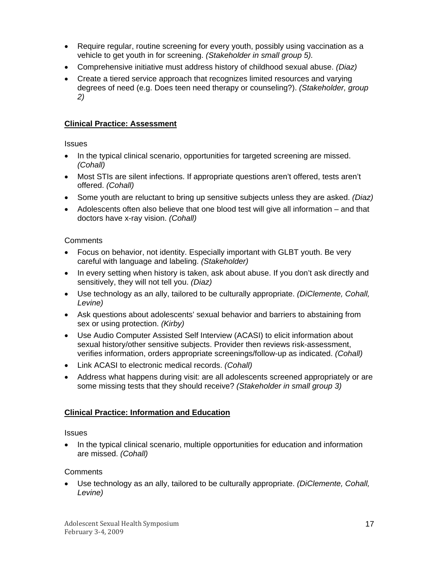- <span id="page-16-0"></span>• Require regular, routine screening for every youth, possibly using vaccination as a vehicle to get youth in for screening. *(Stakeholder in small group 5).*
- Comprehensive initiative must address history of childhood sexual abuse. *(Diaz)*
- Create a tiered service approach that recognizes limited resources and varying degrees of need (e.g. Does teen need therapy or counseling?). *(Stakeholder, group 2)*

# **Clinical Practice: Assessment**

**Issues** 

- In the typical clinical scenario, opportunities for targeted screening are missed. *(Cohall)*
- Most STIs are silent infections. If appropriate questions aren't offered, tests aren't offered. *(Cohall)*
- Some youth are reluctant to bring up sensitive subjects unless they are asked. *(Diaz)*
- Adolescents often also believe that one blood test will give all information and that doctors have x-ray vision. *(Cohall)*

## **Comments**

- Focus on behavior, not identity. Especially important with GLBT youth. Be very careful with language and labeling. *(Stakeholder)*
- In every setting when history is taken, ask about abuse. If you don't ask directly and sensitively, they will not tell you. *(Diaz)*
- Use technology as an ally, tailored to be culturally appropriate. *(DiClemente, Cohall, Levine)*
- Ask questions about adolescents' sexual behavior and barriers to abstaining from sex or using protection. *(Kirby)*
- Use Audio Computer Assisted Self Interview (ACASI) to elicit information about sexual history/other sensitive subjects. Provider then reviews risk-assessment, verifies information, orders appropriate screenings/follow-up as indicated. *(Cohall)*
- Link ACASI to electronic medical records. *(Cohall)*
- Address what happens during visit: are all adolescents screened appropriately or are some missing tests that they should receive? *(Stakeholder in small group 3)*

# **Clinical Practice: Information and Education**

## **Issues**

• In the typical clinical scenario, multiple opportunities for education and information are missed. *(Cohall)* 

## **Comments**

• Use technology as an ally, tailored to be culturally appropriate. *(DiClemente, Cohall, Levine)*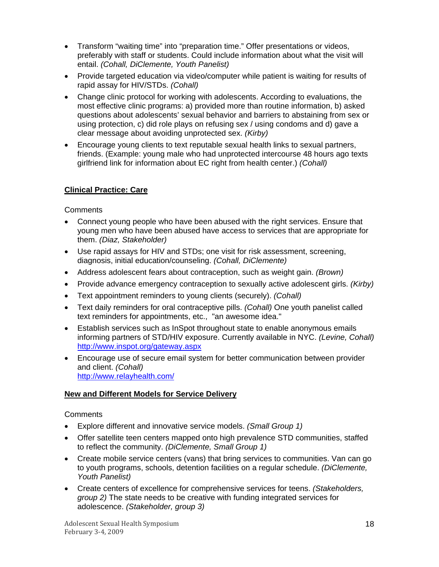- <span id="page-17-0"></span>• Transform "waiting time" into "preparation time." Offer presentations or videos, preferably with staff or students. Could include information about what the visit will entail. *(Cohall, DiClemente, Youth Panelist)*
- Provide targeted education via video/computer while patient is waiting for results of rapid assay for HIV/STDs. *(Cohall)*
- Change clinic protocol for working with adolescents. According to evaluations, the most effective clinic programs: a) provided more than routine information, b) asked questions about adolescents' sexual behavior and barriers to abstaining from sex or using protection, c) did role plays on refusing sex / using condoms and d) gave a clear message about avoiding unprotected sex. *(Kirby)*
- Encourage young clients to text reputable sexual health links to sexual partners, friends. (Example: young male who had unprotected intercourse 48 hours ago texts girlfriend link for information about EC right from health center.) *(Cohall)*

#### **Clinical Practice: Care**

#### **Comments**

- Connect young people who have been abused with the right services. Ensure that young men who have been abused have access to services that are appropriate for them. *(Diaz, Stakeholder)*
- Use rapid assays for HIV and STDs; one visit for risk assessment, screening, diagnosis, initial education/counseling. *(Cohall, DiClemente)*
- Address adolescent fears about contraception, such as weight gain. *(Brown)*
- Provide advance emergency contraception to sexually active adolescent girls. *(Kirby)*
- Text appointment reminders to young clients (securely). *(Cohall)*
- Text daily reminders for oral contraceptive pills. *(Cohall)* One youth panelist called text reminders for appointments, etc., "an awesome idea."
- Establish services such as InSpot throughout state to enable anonymous emails informing partners of STD/HIV exposure. Currently available in NYC. *(Levine, Cohall)*  <http://www.inspot.org/gateway.aspx>
- Encourage use of secure email system for better communication between provider and client. *(Cohall)* <http://www.relayhealth.com/>

#### **New and Different Models for Service Delivery**

- Explore different and innovative service models. *(Small Group 1)*
- Offer satellite teen centers mapped onto high prevalence STD communities, staffed to reflect the community. *(DiClemente, Small Group 1)*
- Create mobile service centers (vans) that bring services to communities. Van can go to youth programs, schools, detention facilities on a regular schedule. *(DiClemente, Youth Panelist)*
- Create centers of excellence for comprehensive services for teens. *(Stakeholders, group 2)* The state needs to be creative with funding integrated services for adolescence. *(Stakeholder, group 3)*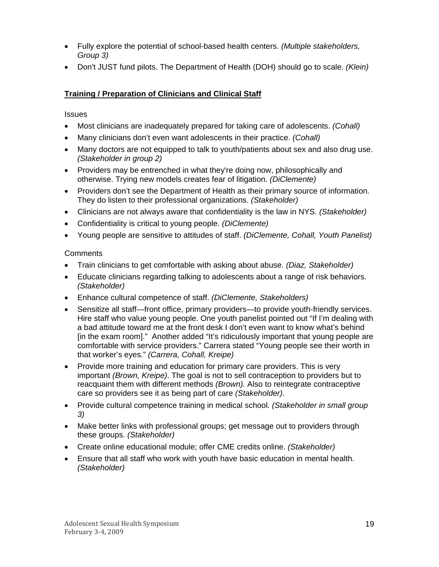- <span id="page-18-0"></span>• Fully explore the potential of school-based health centers. *(Multiple stakeholders, Group 3)*
- Don't JUST fund pilots. The Department of Health (DOH) should go to scale. *(Klein)*

# **Training / Preparation of Clinicians and Clinical Staff**

**Issues** 

- Most clinicians are inadequately prepared for taking care of adolescents. *(Cohall)*
- Many clinicians don't even want adolescents in their practice. *(Cohall)*
- Many doctors are not equipped to talk to youth/patients about sex and also drug use. *(Stakeholder in group 2)*
- Providers may be entrenched in what they're doing now, philosophically and otherwise. Trying new models creates fear of litigation. *(DiClemente)*
- Providers don't see the Department of Health as their primary source of information. They do listen to their professional organizations. *(Stakeholder)*
- Clinicians are not always aware that confidentiality is the law in NYS. *(Stakeholder)*
- Confidentiality is critical to young people. *(DiClemente)*
- Young people are sensitive to attitudes of staff. *(DiClemente, Cohall, Youth Panelist)*

- Train clinicians to get comfortable with asking about abuse. *(Diaz, Stakeholder)*
- Educate clinicians regarding talking to adolescents about a range of risk behaviors. *(Stakeholder)*
- Enhance cultural competence of staff. *(DiClemente, Stakeholders)*
- Sensitize all staff—front office, primary providers—to provide youth-friendly services. Hire staff who value young people. One youth panelist pointed out "If I'm dealing with a bad attitude toward me at the front desk I don't even want to know what's behind [in the exam room]." Another added "It's ridiculously important that young people are comfortable with service providers." Carrera stated "Young people see their worth in that worker's eyes." *(Carrera, Cohall, Kreipe)*
- Provide more training and education for primary care providers. This is very important *(Brown, Kreipe)*. The goal is not to sell contraception to providers but to reacquaint them with different methods *(Brown).* Also to reintegrate contraceptive care so providers see it as being part of care *(Stakeholder).*
- Provide cultural competence training in medical school*. (Stakeholder in small group 3)*
- Make better links with professional groups; get message out to providers through these groups. *(Stakeholder)*
- Create online educational module; offer CME credits online. *(Stakeholder)*
- Ensure that all staff who work with youth have basic education in mental health. *(Stakeholder)*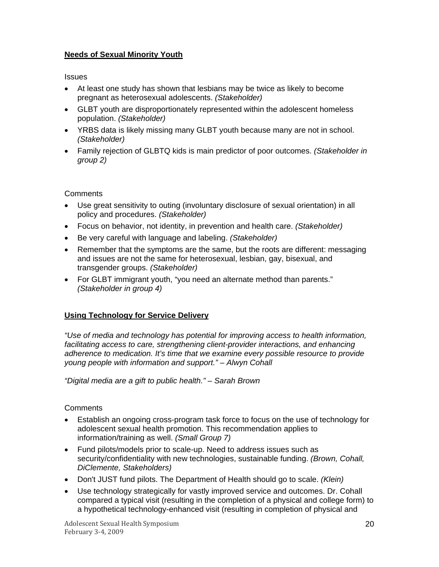### <span id="page-19-0"></span>**Needs of Sexual Minority Youth**

**Issues** 

- At least one study has shown that lesbians may be twice as likely to become pregnant as heterosexual adolescents. *(Stakeholder)*
- GLBT youth are disproportionately represented within the adolescent homeless population. *(Stakeholder)*
- YRBS data is likely missing many GLBT youth because many are not in school. *(Stakeholder)*
- Family rejection of GLBTQ kids is main predictor of poor outcomes. *(Stakeholder in group 2)*

#### **Comments**

- Use great sensitivity to outing (involuntary disclosure of sexual orientation) in all policy and procedures. *(Stakeholder)*
- Focus on behavior, not identity, in prevention and health care. *(Stakeholder)*
- Be very careful with language and labeling. *(Stakeholder)*
- Remember that the symptoms are the same, but the roots are different: messaging and issues are not the same for heterosexual, lesbian, gay, bisexual, and transgender groups. *(Stakeholder)*
- For GLBT immigrant youth, "you need an alternate method than parents." *(Stakeholder in group 4)*

## **Using Technology for Service Delivery**

*"Use of media and technology has potential for improving access to health information,*  facilitating access to care, strengthening client-provider interactions, and enhancing *adherence to medication. It's time that we examine every possible resource to provide young people with information and support." – Alwyn Cohall* 

*"Digital media are a gift to public health." – Sarah Brown* 

- Establish an ongoing cross-program task force to focus on the use of technology for adolescent sexual health promotion. This recommendation applies to information/training as well. *(Small Group 7)*
- Fund pilots/models prior to scale-up. Need to address issues such as security/confidentiality with new technologies, sustainable funding. *(Brown, Cohall, DiClemente, Stakeholders)*
- Don't JUST fund pilots. The Department of Health should go to scale. *(Klein)*
- Use technology strategically for vastly improved service and outcomes. Dr. Cohall compared a typical visit (resulting in the completion of a physical and college form) to a hypothetical technology-enhanced visit (resulting in completion of physical and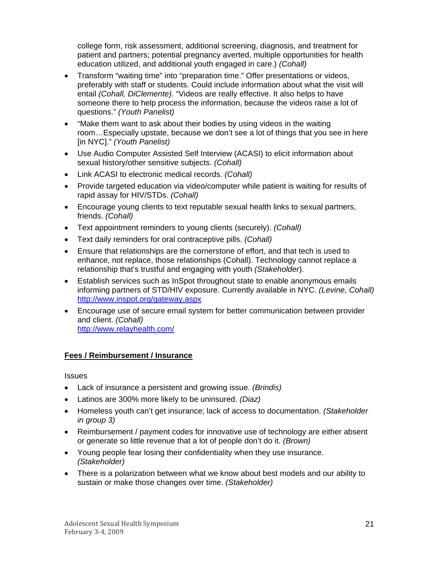<span id="page-20-0"></span>college form, risk assessment, additional screening, diagnosis, and treatment for patient and partners; potential pregnancy averted, multiple opportunities for health education utilized, and additional youth engaged in care.) *(Cohall)*

- Transform "waiting time" into "preparation time." Offer presentations or videos, preferably with staff or students. Could include information about what the visit will entail *(Cohall, DiClemente).* "Videos are really effective. It also helps to have someone there to help process the information, because the videos raise a lot of questions." *(Youth Panelist)*
- "Make them want to ask about their bodies by using videos in the waiting room…Especially upstate, because we don't see a lot of things that you see in here [in NYC]." *(Youth Panelist)*
- Use Audio Computer Assisted Self Interview (ACASI) to elicit information about sexual history/other sensitive subjects. *(Cohall)*
- Link ACASI to electronic medical records. *(Cohall)*
- Provide targeted education via video/computer while patient is waiting for results of rapid assay for HIV/STDs. *(Cohall)*
- Encourage young clients to text reputable sexual health links to sexual partners, friends. *(Cohall)*
- Text appointment reminders to young clients (securely). *(Cohall)*
- Text daily reminders for oral contraceptive pills. *(Cohall)*
- Ensure that relationships are the cornerstone of effort, and that tech is used to enhance, not replace, those relationships (Cohall). Technology cannot replace a relationship that's trustful and engaging with youth *(Stakeholder*).
- Establish services such as InSpot throughout state to enable anonymous emails informing partners of STD/HIV exposure. Currently available in NYC. *(Levine, Cohall)*  <http://www.inspot.org/gateway.aspx>
- Encourage use of secure email system for better communication between provider and client. *(Cohall)* <http://www.relayhealth.com/>

#### **Fees / Reimbursement / Insurance**

**Issues** 

- Lack of insurance a persistent and growing issue. *(Brindis)*
- Latinos are 300% more likely to be uninsured. *(Diaz)*
- Homeless youth can't get insurance; lack of access to documentation. *(Stakeholder in group 3)*
- Reimbursement / payment codes for innovative use of technology are either absent or generate so little revenue that a lot of people don't do it. *(Brown)*
- Young people fear losing their confidentiality when they use insurance. *(Stakeholder)*
- There is a polarization between what we know about best models and our ability to sustain or make those changes over time. *(Stakeholder)*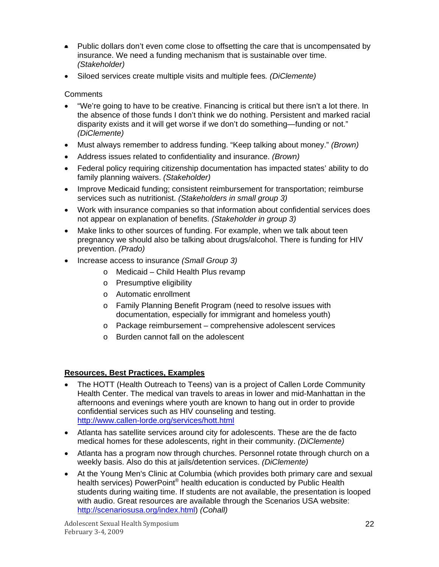- <span id="page-21-0"></span>• Public dollars don't even come close to offsetting the care that is uncompensated by insurance. We need a funding mechanism that is sustainable over time. *(Stakeholder)*
- Siloed services create multiple visits and multiple fees*. (DiClemente)*

#### **Comments**

- "We're going to have to be creative. Financing is critical but there isn't a lot there. In the absence of those funds I don't think we do nothing. Persistent and marked racial disparity exists and it will get worse if we don't do something—funding or not." *(DiClemente)*
- Must always remember to address funding. "Keep talking about money." *(Brown)*
- Address issues related to confidentiality and insurance. *(Brown)*
- Federal policy requiring citizenship documentation has impacted states' ability to do family planning waivers. *(Stakeholder)*
- Improve Medicaid funding; consistent reimbursement for transportation; reimburse services such as nutritionist. *(Stakeholders in small group 3)*
- Work with insurance companies so that information about confidential services does not appear on explanation of benefits. *(Stakeholder in group 3)*
- Make links to other sources of funding. For example, when we talk about teen pregnancy we should also be talking about drugs/alcohol. There is funding for HIV prevention. *(Prado)*
- Increase access to insurance *(Small Group 3)*
	- o Medicaid Child Health Plus revamp
	- o Presumptive eligibility
	- o Automatic enrollment
	- o Family Planning Benefit Program (need to resolve issues with documentation, especially for immigrant and homeless youth)
	- o Package reimbursement comprehensive adolescent services
	- o Burden cannot fall on the adolescent

#### **Resources, Best Practices, Examples**

- The HOTT (Health Outreach to Teens) van is a project of Callen Lorde Community Health Center. The medical van travels to areas in lower and mid-Manhattan in the afternoons and evenings where youth are known to hang out in order to provide confidential services such as HIV counseling and testing. <http://www.callen-lorde.org/services/hott.html>
- Atlanta has satellite services around city for adolescents. These are the de facto medical homes for these adolescents, right in their community. *(DiClemente)*
- Atlanta has a program now through churches. Personnel rotate through church on a weekly basis. Also do this at jails/detention services. *(DiClemente)*
- At the Young Men's Clinic at Columbia (which provides both primary care and sexual health services) PowerPoint<sup>®</sup> health education is conducted by Public Health students during waiting time. If students are not available, the presentation is looped with audio. Great resources are available through the Scenarios USA website: <http://scenariosusa.org/index.html>) *(Cohall)*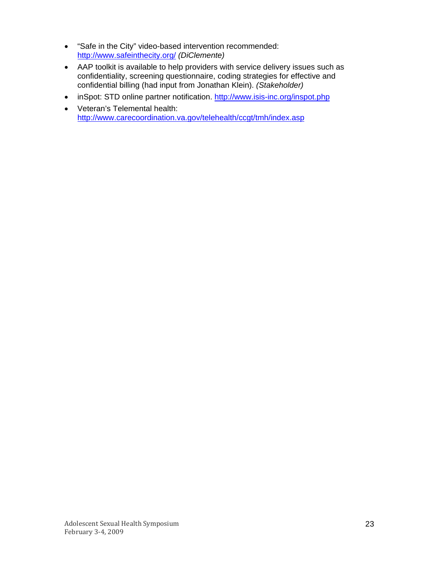- "Safe in the City" video-based intervention recommended: <http://www.safeinthecity.org/> *(DiClemente)*
- AAP toolkit is available to help providers with service delivery issues such as confidentiality, screening questionnaire, coding strategies for effective and confidential billing (had input from Jonathan Klein). *(Stakeholder)*
- inSpot: STD online partner notification.<http://www.isis-inc.org/inspot.php>
- Veteran's Telemental health: <http://www.carecoordination.va.gov/telehealth/ccgt/tmh/index.asp>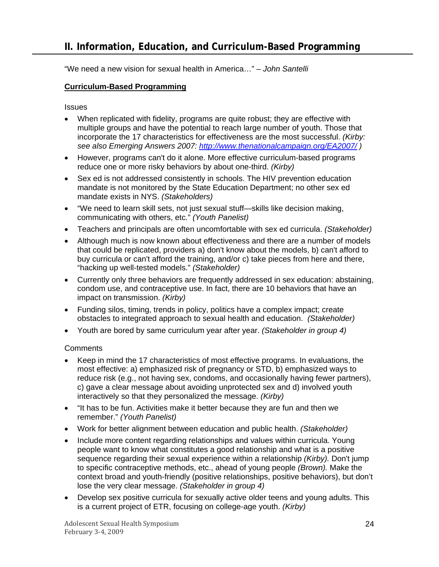<span id="page-23-0"></span>"We need a new vision for sexual health in America…" *– John Santelli* 

### **Curriculum-Based Programming**

**Issues** 

- When replicated with fidelity, programs are quite robust; they are effective with multiple groups and have the potential to reach large number of youth. Those that incorporate the 17 characteristics for effectiveness are the most successful. *(Kirby: see also Emerging Answers 2007: <http://www.thenationalcampaign.org/EA2007/> )*
- However, programs can't do it alone. More effective curriculum-based programs reduce one or more risky behaviors by about one-third. *(Kirby)*
- Sex ed is not addressed consistently in schools. The HIV prevention education mandate is not monitored by the State Education Department; no other sex ed mandate exists in NYS. *(Stakeholders)*
- "We need to learn skill sets, not just sexual stuff—skills like decision making, communicating with others, etc." *(Youth Panelist)*
- Teachers and principals are often uncomfortable with sex ed curricula. *(Stakeholder)*
- Although much is now known about effectiveness and there are a number of models that could be replicated, providers a) don't know about the models, b) can't afford to buy curricula or can't afford the training, and/or c) take pieces from here and there, "hacking up well-tested models." *(Stakeholder)*
- Currently only three behaviors are frequently addressed in sex education: abstaining, condom use, and contraceptive use. In fact, there are 10 behaviors that have an impact on transmission. *(Kirby)*
- Funding silos, timing, trends in policy, politics have a complex impact; create obstacles to integrated approach to sexual health and education. *(Stakeholder)*
- Youth are bored by same curriculum year after year. *(Stakeholder in group 4)*

- Keep in mind the 17 characteristics of most effective programs. In evaluations, the most effective: a) emphasized risk of pregnancy or STD, b) emphasized ways to reduce risk (e.g., not having sex, condoms, and occasionally having fewer partners), c) gave a clear message about avoiding unprotected sex and d) involved youth interactively so that they personalized the message. *(Kirby)*
- "It has to be fun. Activities make it better because they are fun and then we remember." *(Youth Panelist)*
- Work for better alignment between education and public health. *(Stakeholder)*
- Include more content regarding relationships and values within curricula. Young people want to know what constitutes a good relationship and what is a positive sequence regarding their sexual experience within a relationship *(Kirby).* Don't jump to specific contraceptive methods, etc., ahead of young people *(Brown).* Make the context broad and youth-friendly (positive relationships, positive behaviors), but don't lose the very clear message. *(Stakeholder in group 4)*
- Develop sex positive curricula for sexually active older teens and young adults. This is a current project of ETR, focusing on college-age youth. *(Kirby)*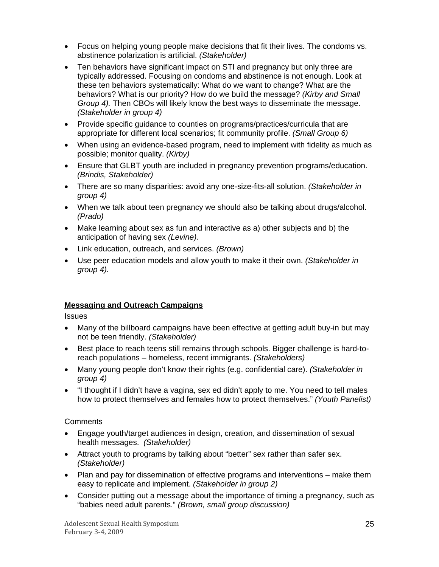- <span id="page-24-0"></span>• Focus on helping young people make decisions that fit their lives. The condoms vs. abstinence polarization is artificial. *(Stakeholder)*
- Ten behaviors have significant impact on STI and pregnancy but only three are typically addressed. Focusing on condoms and abstinence is not enough. Look at these ten behaviors systematically: What do we want to change? What are the behaviors? What is our priority? How do we build the message? *(Kirby and Small Group 4).* Then CBOs will likely know the best ways to disseminate the message. *(Stakeholder in group 4)*
- Provide specific guidance to counties on programs/practices/curricula that are appropriate for different local scenarios; fit community profile. *(Small Group 6)*
- When using an evidence-based program, need to implement with fidelity as much as possible; monitor quality. *(Kirby)*
- Ensure that GLBT youth are included in pregnancy prevention programs/education. *(Brindis, Stakeholder)*
- There are so many disparities: avoid any one-size-fits-all solution. *(Stakeholder in group 4)*
- When we talk about teen pregnancy we should also be talking about drugs/alcohol. *(Prado)*
- Make learning about sex as fun and interactive as a) other subjects and b) the anticipation of having sex *(Levine).*
- Link education, outreach, and services. *(Brown)*
- Use peer education models and allow youth to make it their own. *(Stakeholder in group 4).*

## **Messaging and Outreach Campaigns**

**Issues** 

- Many of the billboard campaigns have been effective at getting adult buy-in but may not be teen friendly. *(Stakeholder)*
- Best place to reach teens still remains through schools. Bigger challenge is hard-toreach populations – homeless, recent immigrants. *(Stakeholders)*
- Many young people don't know their rights (e.g. confidential care). *(Stakeholder in group 4)*
- "I thought if I didn't have a vagina, sex ed didn't apply to me. You need to tell males how to protect themselves and females how to protect themselves." *(Youth Panelist)*

- Engage youth/target audiences in design, creation, and dissemination of sexual health messages. *(Stakeholder)*
- Attract youth to programs by talking about "better" sex rather than safer sex. *(Stakeholder)*
- Plan and pay for dissemination of effective programs and interventions make them easy to replicate and implement. *(Stakeholder in group 2)*
- Consider putting out a message about the importance of timing a pregnancy, such as "babies need adult parents." *(Brown, small group discussion)*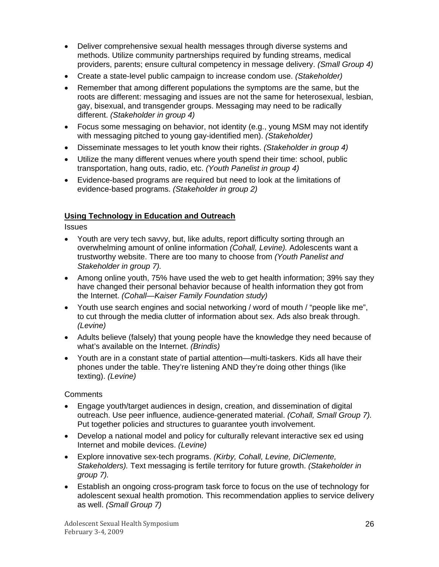- <span id="page-25-0"></span>• Deliver comprehensive sexual health messages through diverse systems and methods. Utilize community partnerships required by funding streams, medical providers, parents; ensure cultural competency in message delivery. *(Small Group 4)*
- Create a state-level public campaign to increase condom use. *(Stakeholder)*
- Remember that among different populations the symptoms are the same, but the roots are different: messaging and issues are not the same for heterosexual, lesbian, gay, bisexual, and transgender groups. Messaging may need to be radically different. *(Stakeholder in group 4)*
- Focus some messaging on behavior, not identity (e.g., young MSM may not identify with messaging pitched to young gay-identified men). *(Stakeholder)*
- Disseminate messages to let youth know their rights. *(Stakeholder in group 4)*
- Utilize the many different venues where youth spend their time: school, public transportation, hang outs, radio, etc. *(Youth Panelist in group 4)*
- Evidence-based programs are required but need to look at the limitations of evidence-based programs. *(Stakeholder in group 2)*

#### **Using Technology in Education and Outreach**

**Issues** 

- Youth are very tech savvy, but, like adults, report difficulty sorting through an overwhelming amount of online information *(Cohall, Levine).* Adolescents want a trustworthy website. There are too many to choose from *(Youth Panelist and Stakeholder in group 7).*
- Among online youth, 75% have used the web to get health information; 39% say they have changed their personal behavior because of health information they got from the Internet. *(Cohall—Kaiser Family Foundation study)*
- Youth use search engines and social networking / word of mouth / "people like me", to cut through the media clutter of information about sex. Ads also break through. *(Levine)*
- Adults believe (falsely) that young people have the knowledge they need because of what's available on the Internet. *(Brindis)*
- Youth are in a constant state of partial attention—multi-taskers. Kids all have their phones under the table. They're listening AND they're doing other things (like texting). *(Levine)*

- Engage youth/target audiences in design, creation, and dissemination of digital outreach. Use peer influence, audience-generated material. *(Cohall, Small Group 7).* Put together policies and structures to guarantee youth involvement.
- Develop a national model and policy for culturally relevant interactive sex ed using Internet and mobile devices. *(Levine)*
- Explore innovative sex-tech programs. *(Kirby, Cohall, Levine, DiClemente, Stakeholders).* Text messaging is fertile territory for future growth. *(Stakeholder in group 7).*
- Establish an ongoing cross-program task force to focus on the use of technology for adolescent sexual health promotion. This recommendation applies to service delivery as well. *(Small Group 7)*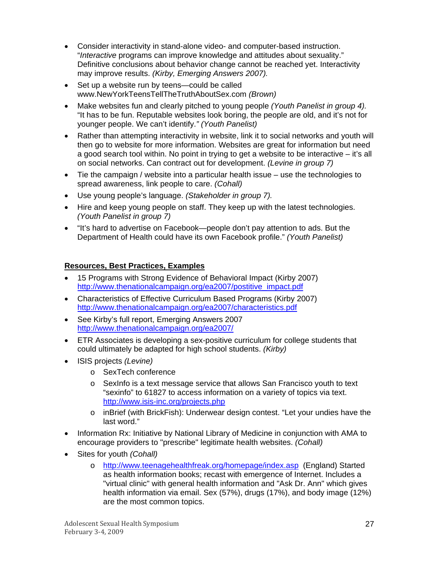- <span id="page-26-0"></span>• Consider interactivity in stand-alone video- and computer-based instruction. "*Interactive* programs can improve knowledge and attitudes about sexuality." Definitive conclusions about behavior change cannot be reached yet. Interactivity may improve results. *(Kirby, Emerging Answers 2007).*
- Set up a website run by teens—could be called www.NewYorkTeensTellTheTruthAboutSex.com *(Brown)*
- Make websites fun and clearly pitched to young people *(Youth Panelist in group 4).*  "It has to be fun. Reputable websites look boring, the people are old, and it's not for younger people. We can't identify.*" (Youth Panelist)*
- Rather than attempting interactivity in website, link it to social networks and youth will then go to website for more information. Websites are great for information but need a good search tool within. No point in trying to get a website to be interactive – it's all on social networks. Can contract out for development. *(Levine in group 7)*
- Tie the campaign / website into a particular health issue use the technologies to spread awareness, link people to care. *(Cohall)*
- Use young people's language. *(Stakeholder in group 7).*
- Hire and keep young people on staff. They keep up with the latest technologies. *(Youth Panelist in group 7)*
- "It's hard to advertise on Facebook—people don't pay attention to ads. But the Department of Health could have its own Facebook profile." *(Youth Panelist)*

#### **Resources, Best Practices, Examples**

- 15 Programs with Strong Evidence of Behavioral Impact (Kirby 2007) [http://www.thenationalcampaign.org/ea2007/postitive\\_impact.pdf](http://www.thenationalcampaign.org/ea2007/postitive_impact.pdf)
- Characteristics of Effective Curriculum Based Programs (Kirby 2007) <http://www.thenationalcampaign.org/ea2007/characteristics.pdf>
- See Kirby's full report, Emerging Answers 2007 <http://www.thenationalcampaign.org/ea2007/>
- ETR Associates is developing a sex-positive curriculum for college students that could ultimately be adapted for high school students. *(Kirby)*
- ISIS projects *(Levine)* 
	- o SexTech conference
	- o SexInfo is a text message service that allows San Francisco youth to text "sexinfo" to 61827 to access information on a variety of topics via text. <http://www.isis-inc.org/projects.php>
	- o inBrief (with BrickFish): Underwear design contest. "Let your undies have the last word."
- Information Rx: Initiative by National Library of Medicine in conjunction with AMA to encourage providers to "prescribe" legitimate health websites. *(Cohall)*
- Sites for youth *(Cohall)* 
	- o <http://www.teenagehealthfreak.org/homepage/index.asp>(England) Started as health information books; recast with emergence of Internet. Includes a "virtual clinic" with general health information and "Ask Dr. Ann" which gives health information via email. Sex (57%), drugs (17%), and body image (12%) are the most common topics.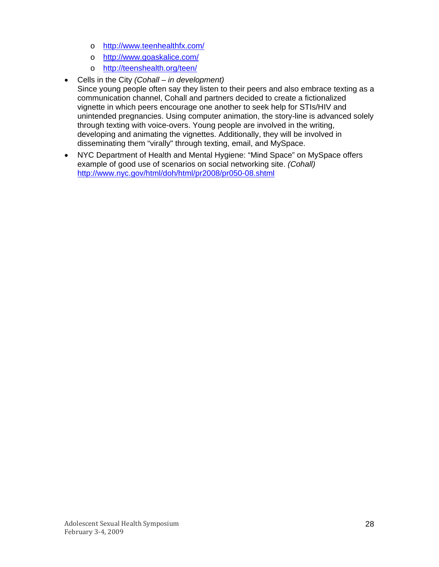- o <http://www.teenhealthfx.com/>
- o <http://www.goaskalice.com/>
- o <http://teenshealth.org/teen/>
- Cells in the City *(Cohall in development)* Since young people often say they listen to their peers and also embrace texting as a communication channel, Cohall and partners decided to create a fictionalized vignette in which peers encourage one another to seek help for STIs/HIV and unintended pregnancies. Using computer animation, the story-line is advanced solely through texting with voice-overs. Young people are involved in the writing, developing and animating the vignettes. Additionally, they will be involved in disseminating them "virally" through texting, email, and MySpace.
- NYC Department of Health and Mental Hygiene: "Mind Space" on MySpace offers example of good use of scenarios on social networking site. *(Cohall)* <http://www.nyc.gov/html/doh/html/pr2008/pr050-08.shtml>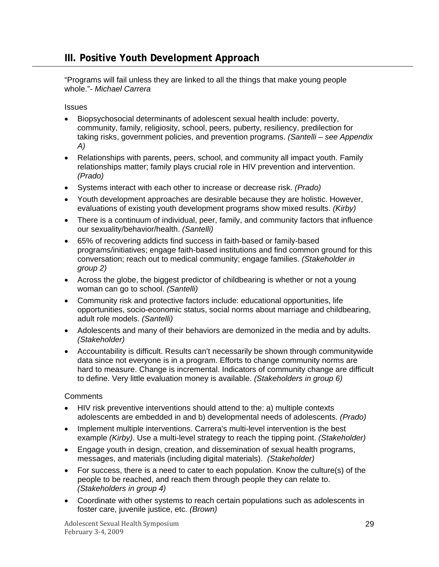<span id="page-28-0"></span>"Programs will fail unless they are linked to all the things that make young people whole."*- Michael Carrera* 

**Issues** 

- Biopsychosocial determinants of adolescent sexual health include: poverty, community, family, religiosity, school, peers, puberty, resiliency, predilection for taking risks, government policies, and prevention programs. *(Santelli – see Appendix A)*
- Relationships with parents, peers, school, and community all impact youth. Family relationships matter; family plays crucial role in HIV prevention and intervention. *(Prado)*
- Systems interact with each other to increase or decrease risk. *(Prado)*
- Youth development approaches are desirable because they are holistic. However, evaluations of existing youth development programs show mixed results. *(Kirby)*
- There is a continuum of individual, peer, family, and community factors that influence our sexuality/behavior/health. *(Santelli)*
- 65% of recovering addicts find success in faith-based or family-based programs/initiatives; engage faith-based institutions and find common ground for this conversation; reach out to medical community; engage families. *(Stakeholder in group 2)*
- Across the globe, the biggest predictor of childbearing is whether or not a young woman can go to school. *(Santelli)*
- Community risk and protective factors include: educational opportunities, life opportunities, socio-economic status, social norms about marriage and childbearing, adult role models. *(Santelli)*
- Adolescents and many of their behaviors are demonized in the media and by adults. *(Stakeholder)*
- Accountability is difficult. Results can't necessarily be shown through communitywide data since not everyone is in a program. Efforts to change community norms are hard to measure. Change is incremental. Indicators of community change are difficult to define. Very little evaluation money is available. *(Stakeholders in group 6)*

- HIV risk preventive interventions should attend to the: a) multiple contexts adolescents are embedded in and b) developmental needs of adolescents. *(Prado)*
- Implement multiple interventions. Carrera's multi-level intervention is the best example *(Kirby)*. Use a multi-level strategy to reach the tipping point. *(Stakeholder)*
- Engage youth in design, creation, and dissemination of sexual health programs, messages, and materials (including digital materials). *(Stakeholder)*
- For success, there is a need to cater to each population. Know the culture(s) of the people to be reached, and reach them through people they can relate to. *(Stakeholders in group 4)*
- Coordinate with other systems to reach certain populations such as adolescents in foster care, juvenile justice, etc. *(Brown)*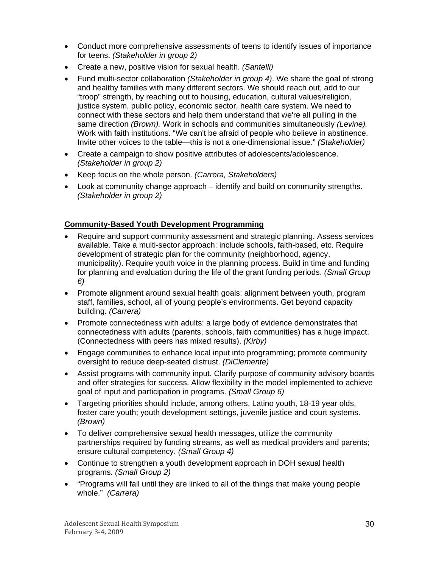- <span id="page-29-0"></span>• Conduct more comprehensive assessments of teens to identify issues of importance for teens. *(Stakeholder in group 2)*
- Create a new, positive vision for sexual health. *(Santelli)*
- Fund multi-sector collaboration *(Stakeholder in group 4)*. We share the goal of strong and healthy families with many different sectors. We should reach out, add to our "troop" strength, by reaching out to housing, education, cultural values/religion, justice system, public policy, economic sector, health care system. We need to connect with these sectors and help them understand that we're all pulling in the same direction *(Brown).* Work in schools and communities simultaneously *(Levine).* Work with faith institutions. "We can't be afraid of people who believe in abstinence. Invite other voices to the table—this is not a one-dimensional issue." *(Stakeholder)*
- Create a campaign to show positive attributes of adolescents/adolescence. *(Stakeholder in group 2)*
- Keep focus on the whole person. *(Carrera, Stakeholders)*
- Look at community change approach identify and build on community strengths. *(Stakeholder in group 2)*

# **Community-Based Youth Development Programming**

- Require and support community assessment and strategic planning. Assess services available. Take a multi-sector approach: include schools, faith-based, etc. Require development of strategic plan for the community (neighborhood, agency, municipality). Require youth voice in the planning process. Build in time and funding for planning and evaluation during the life of the grant funding periods. *(Small Group 6)*
- Promote alignment around sexual health goals: alignment between youth, program staff, families, school, all of young people's environments. Get beyond capacity building. *(Carrera)*
- Promote connectedness with adults: a large body of evidence demonstrates that connectedness with adults (parents, schools, faith communities) has a huge impact. (Connectedness with peers has mixed results). *(Kirby)*
- Engage communities to enhance local input into programming; promote community oversight to reduce deep-seated distrust. *(DiClemente)*
- Assist programs with community input. Clarify purpose of community advisory boards and offer strategies for success. Allow flexibility in the model implemented to achieve goal of input and participation in programs. *(Small Group 6)*
- Targeting priorities should include, among others, Latino youth, 18-19 year olds, foster care youth; youth development settings, juvenile justice and court systems. *(Brown)*
- To deliver comprehensive sexual health messages, utilize the community partnerships required by funding streams, as well as medical providers and parents; ensure cultural competency. *(Small Group 4)*
- Continue to strengthen a youth development approach in DOH sexual health programs. *(Small Group 2)*
- "Programs will fail until they are linked to all of the things that make young people whole." *(Carrera)*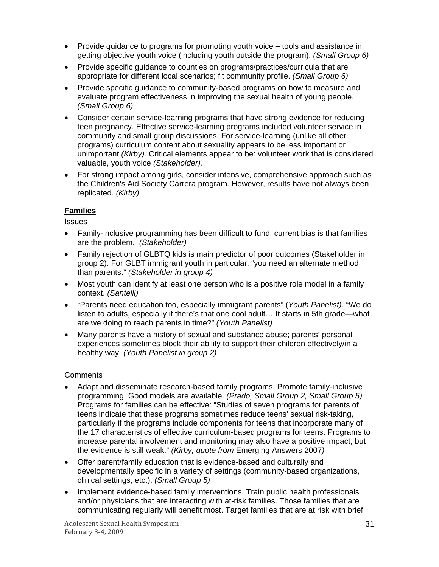- <span id="page-30-0"></span>• Provide guidance to programs for promoting youth voice – tools and assistance in getting objective youth voice (including youth outside the program). *(Small Group 6)*
- Provide specific guidance to counties on programs/practices/curricula that are appropriate for different local scenarios; fit community profile. *(Small Group 6)*
- Provide specific guidance to community-based programs on how to measure and evaluate program effectiveness in improving the sexual health of young people. *(Small Group 6)*
- Consider certain service-learning programs that have strong evidence for reducing teen pregnancy. Effective service-learning programs included volunteer service in community and small group discussions. For service-learning (unlike all other programs) curriculum content about sexuality appears to be less important or unimportant *(Kirby).* Critical elements appear to be: volunteer work that is considered valuable, youth voice *(Stakeholder).*
- For strong impact among girls, consider intensive, comprehensive approach such as the Children's Aid Society Carrera program. However, results have not always been replicated. *(Kirby)*

## **Families**

**Issues** 

- Family-inclusive programming has been difficult to fund; current bias is that families are the problem. *(Stakeholder)*
- Family rejection of GLBTQ kids is main predictor of poor outcomes (Stakeholder in group 2). For GLBT immigrant youth in particular, "you need an alternate method than parents." *(Stakeholder in group 4)*
- Most youth can identify at least one person who is a positive role model in a family context. *(Santelli)*
- "Parents need education too, especially immigrant parents" (*Youth Panelist).* "We do listen to adults, especially if there's that one cool adult… It starts in 5th grade—what are we doing to reach parents in time?" *(Youth Panelist)*
- Many parents have a history of sexual and substance abuse; parents' personal experiences sometimes block their ability to support their children effectively/in a healthy way. *(Youth Panelist in group 2)*

- Adapt and disseminate research-based family programs. Promote family-inclusive programming. Good models are available. *(Prado, Small Group 2, Small Group 5)* Programs for families can be effective: "Studies of seven programs for parents of teens indicate that these programs sometimes reduce teens' sexual risk-taking, particularly if the programs include components for teens that incorporate many of the 17 characteristics of effective curriculum-based programs for teens. Programs to increase parental involvement and monitoring may also have a positive impact, but the evidence is still weak." *(Kirby, quote from* Emerging Answers 2007*)*
- Offer parent/family education that is evidence-based and culturally and developmentally specific in a variety of settings (community-based organizations, clinical settings, etc.). *(Small Group 5)*
- Implement evidence-based family interventions. Train public health professionals and/or physicians that are interacting with at-risk families. Those families that are communicating regularly will benefit most. Target families that are at risk with brief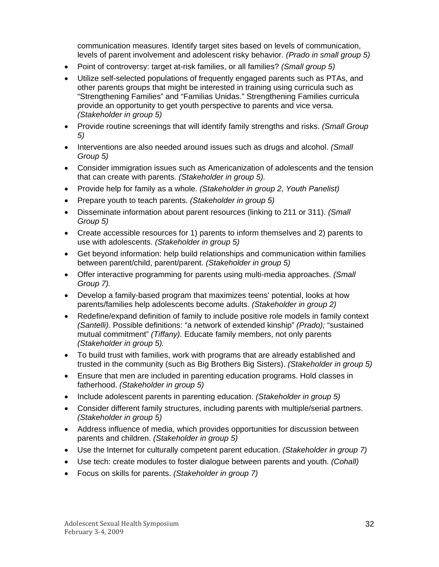communication measures. Identify target sites based on levels of communication, levels of parent involvement and adolescent risky behavior. *(Prado in small group 5)*

- Point of controversy: target at-risk families, or all families? *(Small group 5)*
- Utilize self-selected populations of frequently engaged parents such as PTAs, and other parents groups that might be interested in training using curricula such as "Strengthening Families" and "Familias Unidas." Strengthening Families curricula provide an opportunity to get youth perspective to parents and vice versa. *(Stakeholder in group 5)*
- Provide routine screenings that will identify family strengths and risks. *(Small Group 5)*
- Interventions are also needed around issues such as drugs and alcohol. *(Small Group 5)*
- Consider immigration issues such as Americanization of adolescents and the tension that can create with parents. *(Stakeholder in group 5).*
- Provide help for family as a whole. *(Stakeholder in group 2, Youth Panelist)*
- Prepare youth to teach parents. *(Stakeholder in group 5)*
- Disseminate information about parent resources (linking to 211 or 311). *(Small Group 5)*
- Create accessible resources for 1) parents to inform themselves and 2) parents to use with adolescents. *(Stakeholder in group 5)*
- Get beyond information: help build relationships and communication within families between parent/child, parent/parent. *(Stakeholder in group 5)*
- Offer interactive programming for parents using multi-media approaches. *(Small Group 7).*
- Develop a family-based program that maximizes teens' potential, looks at how parents/families help adolescents become adults. *(Stakeholder in group 2)*
- Redefine/expand definition of family to include positive role models in family context *(Santelli).* Possible definitions: "a network of extended kinship" *(Prado);* "sustained mutual commitment" *(Tiffany).* Educate family members, not only parents *(Stakeholder in group 5).*
- To build trust with families, work with programs that are already established and trusted in the community (such as Big Brothers Big Sisters). *(Stakeholder in group 5)*
- Ensure that men are included in parenting education programs. Hold classes in fatherhood. *(Stakeholder in group 5)*
- Include adolescent parents in parenting education. *(Stakeholder in group 5)*
- Consider different family structures, including parents with multiple/serial partners. *(Stakeholder in group 5)*
- Address influence of media, which provides opportunities for discussion between parents and children. *(Stakeholder in group 5)*
- Use the Internet for culturally competent parent education. *(Stakeholder in group 7)*
- Use tech: create modules to foster dialogue between parents and youth. *(Cohall)*
- Focus on skills for parents. *(Stakeholder in group 7)*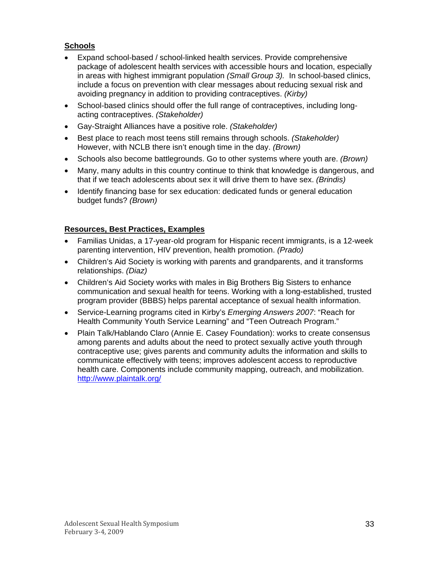# <span id="page-32-0"></span>**Schools**

- Expand school-based / school-linked health services. Provide comprehensive package of adolescent health services with accessible hours and location, especially in areas with highest immigrant population *(Small Group 3).* In school-based clinics, include a focus on prevention with clear messages about reducing sexual risk and avoiding pregnancy in addition to providing contraceptives. *(Kirby)*
- School-based clinics should offer the full range of contraceptives, including longacting contraceptives. *(Stakeholder)*
- Gay-Straight Alliances have a positive role. *(Stakeholder)*
- Best place to reach most teens still remains through schools. *(Stakeholder)* However, with NCLB there isn't enough time in the day. *(Brown)*
- Schools also become battlegrounds. Go to other systems where youth are. *(Brown)*
- Many, many adults in this country continue to think that knowledge is dangerous, and that if we teach adolescents about sex it will drive them to have sex. *(Brindis)*
- Identify financing base for sex education: dedicated funds or general education budget funds? *(Brown)*

#### **Resources, Best Practices, Examples**

- Familias Unidas, a 17-year-old program for Hispanic recent immigrants, is a 12-week parenting intervention, HIV prevention, health promotion. *(Prado)*
- Children's Aid Society is working with parents and grandparents, and it transforms relationships. *(Diaz)*
- Children's Aid Society works with males in Big Brothers Big Sisters to enhance communication and sexual health for teens. Working with a long-established, trusted program provider (BBBS) helps parental acceptance of sexual health information.
- Service-Learning programs cited in Kirby's *Emerging Answers 2007*: "Reach for Health Community Youth Service Learning" and "Teen Outreach Program."
- Plain Talk/Hablando Claro (Annie E. Casey Foundation): works to create consensus among parents and adults about the need to protect sexually active youth through contraceptive use; gives parents and community adults the information and skills to communicate effectively with teens; improves adolescent access to reproductive health care. Components include community mapping, outreach, and mobilization. <http://www.plaintalk.org/>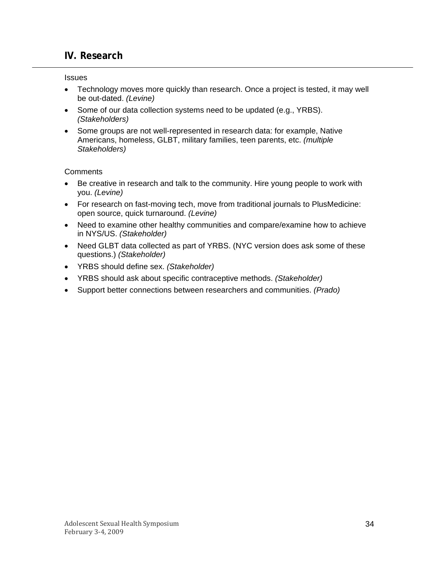# <span id="page-33-0"></span>**IV. Research**

**Issues** 

- Technology moves more quickly than research. Once a project is tested, it may well be out-dated. *(Levine)*
- Some of our data collection systems need to be updated (e.g., YRBS). *(Stakeholders)*
- Some groups are not well-represented in research data: for example, Native Americans, homeless, GLBT, military families, teen parents, etc. *(multiple Stakeholders)*

- Be creative in research and talk to the community. Hire young people to work with you. *(Levine)*
- For research on fast-moving tech, move from traditional journals to PlusMedicine: open source, quick turnaround. *(Levine)*
- Need to examine other healthy communities and compare/examine how to achieve in NYS/US. *(Stakeholder)*
- Need GLBT data collected as part of YRBS. (NYC version does ask some of these questions.) *(Stakeholder)*
- YRBS should define sex. *(Stakeholder)*
- YRBS should ask about specific contraceptive methods. *(Stakeholder)*
- Support better connections between researchers and communities. *(Prado)*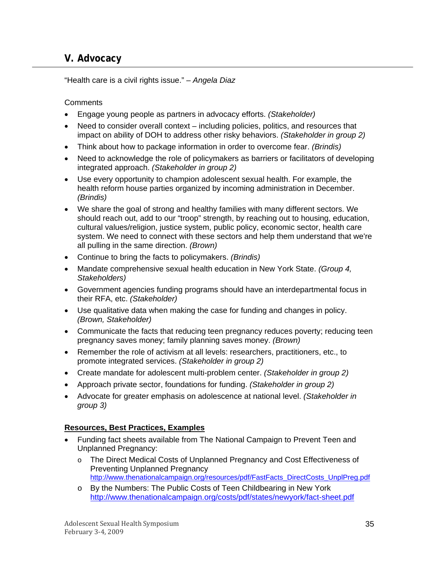# <span id="page-34-0"></span>**V. Advocacy**

"Health care is a civil rights issue." *– Angela Diaz*

**Comments** 

- Engage young people as partners in advocacy efforts. *(Stakeholder)*
- Need to consider overall context including policies, politics, and resources that impact on ability of DOH to address other risky behaviors. *(Stakeholder in group 2)*
- Think about how to package information in order to overcome fear. *(Brindis)*
- Need to acknowledge the role of policymakers as barriers or facilitators of developing integrated approach. *(Stakeholder in group 2)*
- Use every opportunity to champion adolescent sexual health. For example, the health reform house parties organized by incoming administration in December. *(Brindis)*
- We share the goal of strong and healthy families with many different sectors. We should reach out, add to our "troop" strength, by reaching out to housing, education, cultural values/religion, justice system, public policy, economic sector, health care system. We need to connect with these sectors and help them understand that we're all pulling in the same direction. *(Brown)*
- Continue to bring the facts to policymakers. *(Brindis)*
- Mandate comprehensive sexual health education in New York State. *(Group 4, Stakeholders)*
- Government agencies funding programs should have an interdepartmental focus in their RFA, etc. *(Stakeholder)*
- Use qualitative data when making the case for funding and changes in policy. *(Brown, Stakeholder)*
- Communicate the facts that reducing teen pregnancy reduces poverty; reducing teen pregnancy saves money; family planning saves money. *(Brown)*
- Remember the role of activism at all levels: researchers, practitioners, etc., to promote integrated services. *(Stakeholder in group 2)*
- Create mandate for adolescent multi-problem center. *(Stakeholder in group 2)*
- Approach private sector, foundations for funding. *(Stakeholder in group 2)*
- Advocate for greater emphasis on adolescence at national level. *(Stakeholder in group 3)*

## **Resources, Best Practices, Examples**

- Funding fact sheets available from The National Campaign to Prevent Teen and Unplanned Pregnancy:
	- o The Direct Medical Costs of Unplanned Pregnancy and Cost Effectiveness of Preventing Unplanned Pregnancy [http://www.thenationalcampaign.org/resources/pdf/FastFacts\\_DirectCosts\\_UnplPreg.pdf](http://www.thenationalcampaign.org/resources/pdf/FastFacts_DirectCosts_UnplPreg.pdf)
	- o By the Numbers: The Public Costs of Teen Childbearing in New York <http://www.thenationalcampaign.org/costs/pdf/states/newyork/fact-sheet.pdf>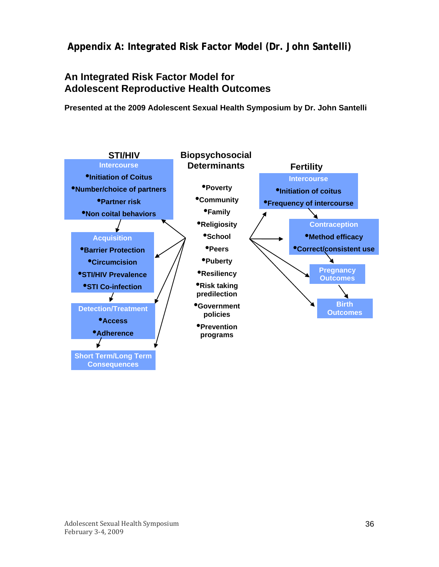<span id="page-35-0"></span> **Appendix A: Integrated Risk Factor Model (Dr. John Santelli)** 

# **An Integrated Risk Factor Model for Adolescent Reproductive Health Outcomes**

**Presented at the 2009 Adolescent Sexual Health Symposium by Dr. John Santelli**

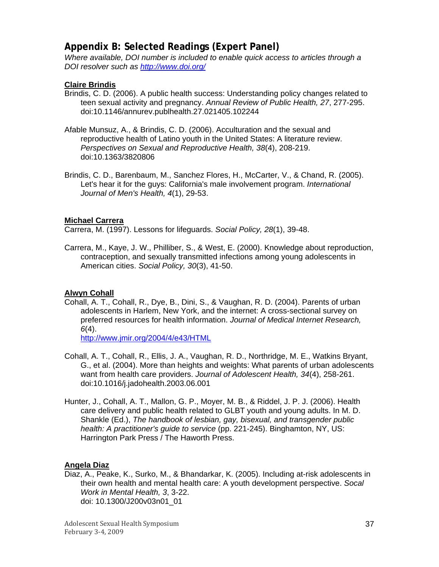# <span id="page-36-0"></span>**Appendix B: Selected Readings (Expert Panel)**

*Where available, DOI number is included to enable quick access to articles through a DOI resolver such as <http://www.doi.org/>*

#### **Claire Brindis**

- Brindis, C. D. (2006). A public health success: Understanding policy changes related to teen sexual activity and pregnancy. *Annual Review of Public Health, 27*, 277-295. doi:10.1146/annurev.publhealth.27.021405.102244
- Afable Munsuz, A., & Brindis, C. D. (2006). Acculturation and the sexual and reproductive health of Latino youth in the United States: A literature review. *Perspectives on Sexual and Reproductive Health, 38*(4), 208-219. doi:10.1363/3820806
- Brindis, C. D., Barenbaum, M., Sanchez Flores, H., McCarter, V., & Chand, R. (2005). Let's hear it for the guys: California's male involvement program. *International Journal of Men's Health, 4*(1), 29-53.

#### **Michael Carrera**

Carrera, M. (1997). Lessons for lifeguards. *Social Policy, 28*(1), 39-48.

Carrera, M., Kaye, J. W., Philliber, S., & West, E. (2000). Knowledge about reproduction, contraception, and sexually transmitted infections among young adolescents in American cities. *Social Policy, 30*(3), 41-50.

#### **Alwyn Cohall**

Cohall, A. T., Cohall, R., Dye, B., Dini, S., & Vaughan, R. D. (2004). Parents of urban adolescents in Harlem, New York, and the internet: A cross-sectional survey on preferred resources for health information. *Journal of Medical Internet Research, 6*(4).

<http://www.jmir.org/2004/4/e43/HTML>

- Cohall, A. T., Cohall, R., Ellis, J. A., Vaughan, R. D., Northridge, M. E., Watkins Bryant, G., et al. (2004). More than heights and weights: What parents of urban adolescents want from health care providers. *Journal of Adolescent Health, 34*(4), 258-261. doi:10.1016/j.jadohealth.2003.06.001
- Hunter, J., Cohall, A. T., Mallon, G. P., Moyer, M. B., & Riddel, J. P. J. (2006). Health care delivery and public health related to GLBT youth and young adults. In M. D. Shankle (Ed.), *The handbook of lesbian, gay, bisexual, and transgender public health: A practitioner's guide to service* (pp. 221-245). Binghamton, NY, US: Harrington Park Press / The Haworth Press.

#### **Angela Diaz**

Diaz, A., Peake, K., Surko, M., & Bhandarkar, K. (2005). Including at-risk adolescents in their own health and mental health care: A youth development perspective. *Socal Work in Mental Health, 3*, 3-22. doi: 10.1300/J200v03n01\_01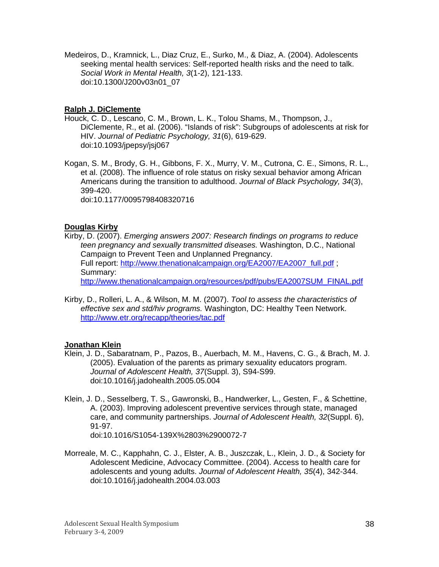Medeiros, D., Kramnick, L., Diaz Cruz, E., Surko, M., & Diaz, A. (2004). Adolescents seeking mental health services: Self-reported health risks and the need to talk. *Social Work in Mental Health, 3*(1-2), 121-133. doi:10.1300/J200v03n01\_07

#### **Ralph J. DiClemente**

Houck, C. D., Lescano, C. M., Brown, L. K., Tolou Shams, M., Thompson, J., DiClemente, R., et al. (2006). "Islands of risk": Subgroups of adolescents at risk for HIV. *Journal of Pediatric Psychology, 31*(6), 619-629. doi:10.1093/jpepsy/jsj067

Kogan, S. M., Brody, G. H., Gibbons, F. X., Murry, V. M., Cutrona, C. E., Simons, R. L., et al. (2008). The influence of role status on risky sexual behavior among African Americans during the transition to adulthood. *Journal of Black Psychology, 34*(3), 399-420. doi:10.1177/0095798408320716

#### **Douglas Kirby**

Kirby, D. (2007). *Emerging answers 2007: Research findings on programs to reduce teen pregnancy and sexually transmitted diseases.* Washington, D.C., National Campaign to Prevent Teen and Unplanned Pregnancy. Full report: [http://www.thenationalcampaign.org/EA2007/EA2007\\_full.pdf](http://www.thenationalcampaign.org/EA2007/EA2007_full.pdf) ; Summary: [http://www.thenationalcampaign.org/resources/pdf/pubs/EA2007SUM\\_FINAL.pdf](http://www.thenationalcampaign.org/resources/pdf/pubs/EA2007SUM_FINAL.pdf)

Kirby, D., Rolleri, L. A., & Wilson, M. M. (2007). *Tool to assess the characteristics of effective sex and std/hiv programs.* Washington, DC: Healthy Teen Network. <http://www.etr.org/recapp/theories/tac.pdf>

#### **Jonathan Klein**

- Klein, J. D., Sabaratnam, P., Pazos, B., Auerbach, M. M., Havens, C. G., & Brach, M. J. (2005). Evaluation of the parents as primary sexuality educators program. *Journal of Adolescent Health, 37*(Suppl. 3), S94-S99. doi:10.1016/j.jadohealth.2005.05.004
- Klein, J. D., Sesselberg, T. S., Gawronski, B., Handwerker, L., Gesten, F., & Schettine, A. (2003). Improving adolescent preventive services through state, managed care, and community partnerships. *Journal of Adolescent Health, 32*(Suppl. 6), 91-97. doi:10.1016/S1054-139X%2803%2900072-7
- Morreale, M. C., Kapphahn, C. J., Elster, A. B., Juszczak, L., Klein, J. D., & Society for Adolescent Medicine, Advocacy Committee. (2004). Access to health care for adolescents and young adults. *Journal of Adolescent Health, 35*(4), 342-344. doi:10.1016/j.jadohealth.2004.03.003